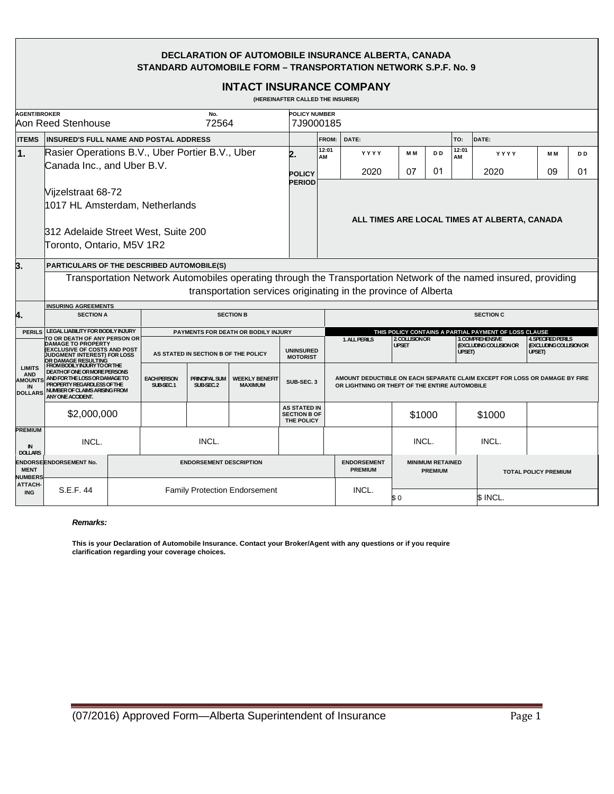#### **DECLARATION OF AUTOMOBILE INSURANCE ALBERTA, CANADA STANDARD AUTOMOBILE FORM – TRANSPORTATION NETWORK S.P.F. No. 9**

|                                                                       |                                                                                                                                                                                                                                                                                                                                             |  |                                      |                                      |                                                       | (HEREINAFTER CALLED THE INSURER)                         |             | <b>INTACT INSURANCE COMPANY</b>                                                                                              |                                           |                      |             |                                             |                                                                        |                      |
|-----------------------------------------------------------------------|---------------------------------------------------------------------------------------------------------------------------------------------------------------------------------------------------------------------------------------------------------------------------------------------------------------------------------------------|--|--------------------------------------|--------------------------------------|-------------------------------------------------------|----------------------------------------------------------|-------------|------------------------------------------------------------------------------------------------------------------------------|-------------------------------------------|----------------------|-------------|---------------------------------------------|------------------------------------------------------------------------|----------------------|
| <b>AGENT/BROKER</b><br>No.<br>Aon Reed Stenhouse<br>72564             |                                                                                                                                                                                                                                                                                                                                             |  |                                      |                                      | <b>POLICY NUMBER</b><br>7J9000185                     |                                                          |             |                                                                                                                              |                                           |                      |             |                                             |                                                                        |                      |
| <b>ITEMS</b>                                                          | <b>INSURED'S FULL NAME AND POSTAL ADDRESS</b>                                                                                                                                                                                                                                                                                               |  |                                      |                                      | <b>FROM:</b>                                          | DATE:<br>DATE:<br>TO:                                    |             |                                                                                                                              |                                           |                      |             |                                             |                                                                        |                      |
| $\vert$ 1.                                                            | Rasier Operations B.V., Uber Portier B.V., Uber<br>Canada Inc., and Uber B.V.                                                                                                                                                                                                                                                               |  |                                      |                                      |                                                       |                                                          | 12:01<br>AM | YYYY<br>2020                                                                                                                 | M M<br>07                                 | D <sub>D</sub><br>01 | 12:01<br>АM | YYYY<br>2020                                | M M<br>09                                                              | D <sub>D</sub><br>01 |
|                                                                       | Vijzelstraat 68-72<br>1017 HL Amsterdam, Netherlands<br>312 Adelaide Street West, Suite 200<br>Toronto, Ontario, M5V 1R2                                                                                                                                                                                                                    |  |                                      | <b>POLICY</b><br><b>PERIOD</b>       | ALL TIMES ARE LOCAL TIMES AT ALBERTA, CANADA          |                                                          |             |                                                                                                                              |                                           |                      |             |                                             |                                                                        |                      |
| 3.                                                                    | <b>PARTICULARS OF THE DESCRIBED AUTOMOBILE(S)</b><br>Transportation Network Automobiles operating through the Transportation Network of the named insured, providing<br>transportation services originating in the province of Alberta                                                                                                      |  |                                      |                                      |                                                       |                                                          |             |                                                                                                                              |                                           |                      |             |                                             |                                                                        |                      |
| 4.                                                                    | <b>INSURING AGREEMENTS</b><br><b>SECTION A</b><br><b>SECTION B</b>                                                                                                                                                                                                                                                                          |  |                                      |                                      | <b>SECTION C</b>                                      |                                                          |             |                                                                                                                              |                                           |                      |             |                                             |                                                                        |                      |
| <b>PERILS</b>                                                         | LEGAL LIABILITY FOR BODILY INJURY<br>PAYMENTS FOR DEATH OR BODILY INJURY                                                                                                                                                                                                                                                                    |  |                                      |                                      | THIS POLICY CONTAINS A PARTIAL PAYMENT OF LOSS CLAUSE |                                                          |             |                                                                                                                              |                                           |                      |             |                                             |                                                                        |                      |
| <b>LIMITS</b><br><b>AND</b><br><b>AMOUNTS</b><br>IN<br><b>DOLLARS</b> | TO OR DEATH OF ANY PERSON OR<br><b>DAMAGE TO PROPERTY</b><br><b>(EXCLUSIVE OF COSTS AND POST</b><br>JUDGMENT INTEREST) FOR LOSS<br>OR DAMAGE RESULTING<br>FROM BODILY INJURY TO OR THE<br>DEATH OF ONE OR MORE PERSONS<br>AND FOR THE LOSS OR DAMAGE TO<br>PROPERTY REGARDLESS OF THE<br>NUMBER OF CLAIMS ARISING FROM<br>ANY ONE ACCIDENT. |  | AS STATED IN SECTION B OF THE POLICY |                                      |                                                       | <b>UNINSURED</b><br><b>MOTORIST</b>                      |             | 1. ALL PERILS                                                                                                                | 2. COLLISION OR<br><b>UPSET</b>           |                      | UPSET)      | 3. COMPREHENSIVE<br>(EXCLUDING COLLISION OR | <b>4. SPECIFIED PERILS</b><br><b>(EXCLUDING COLLISION OR</b><br>UPSET) |                      |
|                                                                       |                                                                                                                                                                                                                                                                                                                                             |  | <b>EACH PERSON</b><br>SUB-SEC.1      | <b>PRINCIPAL SUM</b><br>SUB-SEC.2    | <b>WEEKLY BENEFIT</b><br><b>MAXIMUM</b>               | SUB-SEC. 3                                               |             | AMOUNT DEDUCTIBLE ON EACH SEPARATE CLAIM EXCEPT FOR LOSS OR DAMAGE BY FIRE<br>OR LIGHTNING OR THEFT OF THE ENTIRE AUTOMOBILE |                                           |                      |             |                                             |                                                                        |                      |
|                                                                       | \$2,000,000                                                                                                                                                                                                                                                                                                                                 |  |                                      |                                      |                                                       | <b>AS STATED IN</b><br><b>SECTION B OF</b><br>THE POLICY |             |                                                                                                                              | \$1000                                    |                      |             | \$1000                                      |                                                                        |                      |
| <b>PREMIUM</b><br>N<br><b>DOLLARS</b>                                 | INCL.                                                                                                                                                                                                                                                                                                                                       |  | INCL.                                |                                      |                                                       |                                                          |             |                                                                                                                              | INCL.                                     |                      |             | INCL.                                       |                                                                        |                      |
| <b>MENT</b><br><b>NUMBERS</b>                                         | <b>ENDORSE ENDORSEMENT No.</b>                                                                                                                                                                                                                                                                                                              |  | <b>ENDORSEMENT DESCRIPTION</b>       |                                      |                                                       |                                                          |             | <b>ENDORSEMENT</b><br><b>PREMIUM</b>                                                                                         | <b>MINIMUM RETAINED</b><br><b>PREMIUM</b> |                      |             | <b>TOTAL POLICY PREMIUM</b>                 |                                                                        |                      |
| ATTACH-<br><b>ING</b>                                                 | S.E.F. 44                                                                                                                                                                                                                                                                                                                                   |  |                                      | <b>Family Protection Endorsement</b> |                                                       |                                                          |             | INCL.                                                                                                                        | \$0                                       |                      |             | \$ INCL.                                    |                                                                        |                      |

#### *Remarks:*

**This is your Declaration of Automobile Insurance. Contact your Broker/Agent with any questions or if you require clarification regarding your coverage choices.**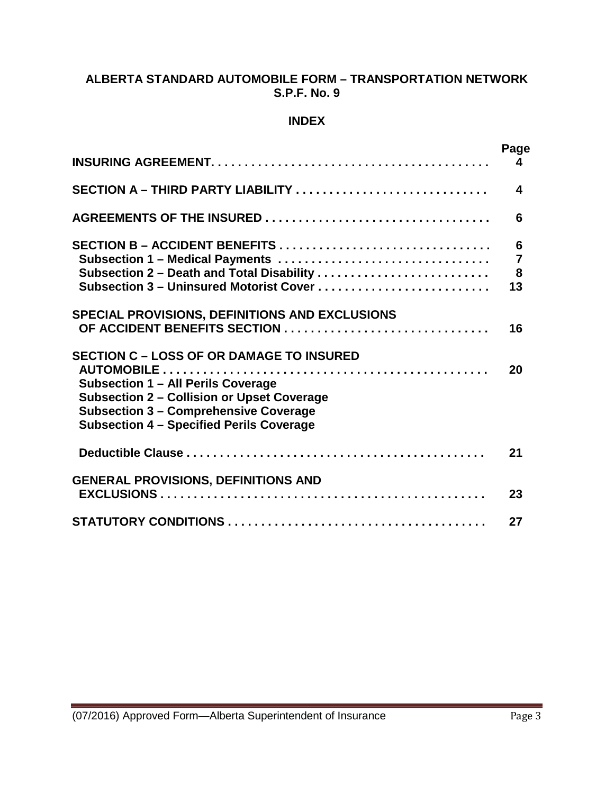### **ALBERTA STANDARD AUTOMOBILE FORM – TRANSPORTATION NETWORK S.P.F. No. 9**

#### **INDEX**

|                                                                                                                                                                                                                                               | Page<br>4                                                   |
|-----------------------------------------------------------------------------------------------------------------------------------------------------------------------------------------------------------------------------------------------|-------------------------------------------------------------|
| SECTION A - THIRD PARTY LIABILITY                                                                                                                                                                                                             | 4                                                           |
|                                                                                                                                                                                                                                               | 6                                                           |
| Subsection 2 - Death and Total Disability<br>Subsection 3 - Uninsured Motorist Cover                                                                                                                                                          | $6\phantom{1}6$<br>$\overline{7}$<br>$\boldsymbol{8}$<br>13 |
| <b>SPECIAL PROVISIONS, DEFINITIONS AND EXCLUSIONS</b>                                                                                                                                                                                         | 16                                                          |
| <b>SECTION C - LOSS OF OR DAMAGE TO INSURED</b><br>Subsection 1 - All Perils Coverage<br><b>Subsection 2 - Collision or Upset Coverage</b><br><b>Subsection 3 - Comprehensive Coverage</b><br><b>Subsection 4 - Specified Perils Coverage</b> | 20                                                          |
|                                                                                                                                                                                                                                               | 21                                                          |
| <b>GENERAL PROVISIONS, DEFINITIONS AND</b>                                                                                                                                                                                                    | 23                                                          |
|                                                                                                                                                                                                                                               | 27                                                          |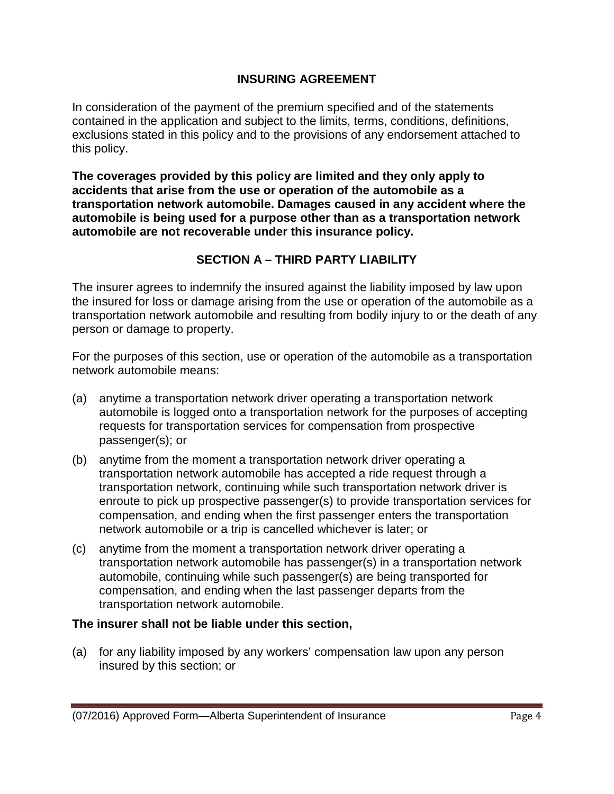#### **INSURING AGREEMENT**

In consideration of the payment of the premium specified and of the statements contained in the application and subject to the limits, terms, conditions, definitions, exclusions stated in this policy and to the provisions of any endorsement attached to this policy.

**The coverages provided by this policy are limited and they only apply to accidents that arise from the use or operation of the automobile as a transportation network automobile. Damages caused in any accident where the automobile is being used for a purpose other than as a transportation network automobile are not recoverable under this insurance policy.**

# **SECTION A – THIRD PARTY LIABILITY**

The insurer agrees to indemnify the insured against the liability imposed by law upon the insured for loss or damage arising from the use or operation of the automobile as a transportation network automobile and resulting from bodily injury to or the death of any person or damage to property.

For the purposes of this section, use or operation of the automobile as a transportation network automobile means:

- (a) anytime a transportation network driver operating a transportation network automobile is logged onto a transportation network for the purposes of accepting requests for transportation services for compensation from prospective passenger(s); or
- (b) anytime from the moment a transportation network driver operating a transportation network automobile has accepted a ride request through a transportation network, continuing while such transportation network driver is enroute to pick up prospective passenger(s) to provide transportation services for compensation, and ending when the first passenger enters the transportation network automobile or a trip is cancelled whichever is later; or
- (c) anytime from the moment a transportation network driver operating a transportation network automobile has passenger(s) in a transportation network automobile, continuing while such passenger(s) are being transported for compensation, and ending when the last passenger departs from the transportation network automobile.

#### **The insurer shall not be liable under this section,**

(a) for any liability imposed by any workers' compensation law upon any person insured by this section; or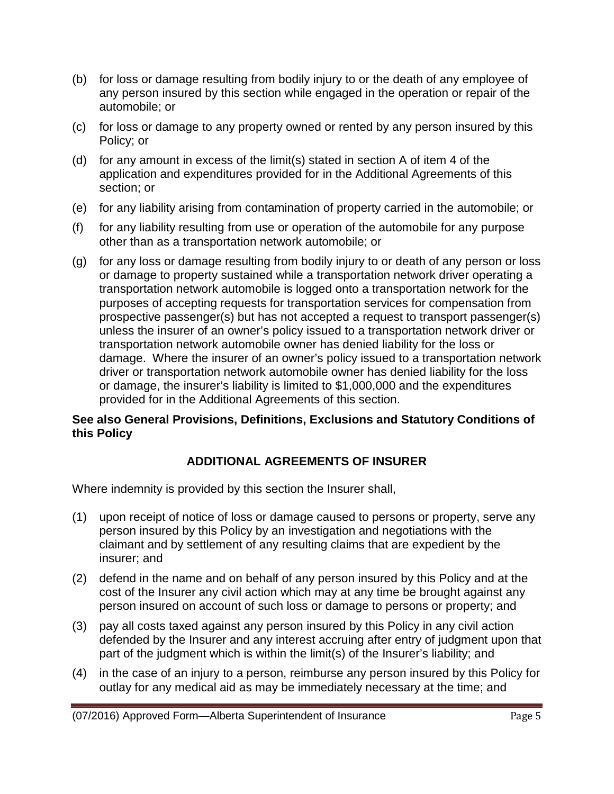- (b) for loss or damage resulting from bodily injury to or the death of any employee of any person insured by this section while engaged in the operation or repair of the automobile; or
- (c) for loss or damage to any property owned or rented by any person insured by this Policy; or
- (d) for any amount in excess of the limit(s) stated in section A of item 4 of the application and expenditures provided for in the Additional Agreements of this section; or
- (e) for any liability arising from contamination of property carried in the automobile; or
- (f) for any liability resulting from use or operation of the automobile for any purpose other than as a transportation network automobile; or
- (g) for any loss or damage resulting from bodily injury to or death of any person or loss or damage to property sustained while a transportation network driver operating a transportation network automobile is logged onto a transportation network for the purposes of accepting requests for transportation services for compensation from prospective passenger(s) but has not accepted a request to transport passenger(s) unless the insurer of an owner's policy issued to a transportation network driver or transportation network automobile owner has denied liability for the loss or damage. Where the insurer of an owner's policy issued to a transportation network driver or transportation network automobile owner has denied liability for the loss or damage, the insurer's liability is limited to \$1,000,000 and the expenditures provided for in the Additional Agreements of this section.

# **See also General Provisions, Definitions, Exclusions and Statutory Conditions of this Policy**

# **ADDITIONAL AGREEMENTS OF INSURER**

Where indemnity is provided by this section the Insurer shall,

- (1) upon receipt of notice of loss or damage caused to persons or property, serve any person insured by this Policy by an investigation and negotiations with the claimant and by settlement of any resulting claims that are expedient by the insurer; and
- (2) defend in the name and on behalf of any person insured by this Policy and at the cost of the Insurer any civil action which may at any time be brought against any person insured on account of such loss or damage to persons or property; and
- (3) pay all costs taxed against any person insured by this Policy in any civil action defended by the Insurer and any interest accruing after entry of judgment upon that part of the judgment which is within the limit(s) of the Insurer's liability; and
- (4) in the case of an injury to a person, reimburse any person insured by this Policy for outlay for any medical aid as may be immediately necessary at the time; and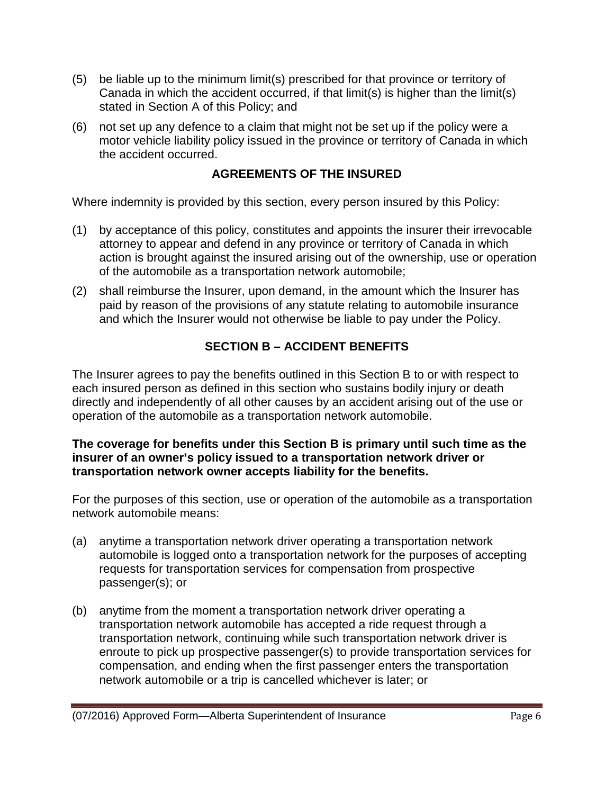- (5) be liable up to the minimum limit(s) prescribed for that province or territory of Canada in which the accident occurred, if that limit(s) is higher than the limit(s) stated in Section A of this Policy; and
- (6) not set up any defence to a claim that might not be set up if the policy were a motor vehicle liability policy issued in the province or territory of Canada in which the accident occurred.

# **AGREEMENTS OF THE INSURED**

Where indemnity is provided by this section, every person insured by this Policy:

- (1) by acceptance of this policy, constitutes and appoints the insurer their irrevocable attorney to appear and defend in any province or territory of Canada in which action is brought against the insured arising out of the ownership, use or operation of the automobile as a transportation network automobile;
- (2) shall reimburse the Insurer, upon demand, in the amount which the Insurer has paid by reason of the provisions of any statute relating to automobile insurance and which the Insurer would not otherwise be liable to pay under the Policy.

# **SECTION B – ACCIDENT BENEFITS**

The Insurer agrees to pay the benefits outlined in this Section B to or with respect to each insured person as defined in this section who sustains bodily injury or death directly and independently of all other causes by an accident arising out of the use or operation of the automobile as a transportation network automobile.

#### **The coverage for benefits under this Section B is primary until such time as the insurer of an owner's policy issued to a transportation network driver or transportation network owner accepts liability for the benefits.**

For the purposes of this section, use or operation of the automobile as a transportation network automobile means:

- (a) anytime a transportation network driver operating a transportation network automobile is logged onto a transportation network for the purposes of accepting requests for transportation services for compensation from prospective passenger(s); or
- (b) anytime from the moment a transportation network driver operating a transportation network automobile has accepted a ride request through a transportation network, continuing while such transportation network driver is enroute to pick up prospective passenger(s) to provide transportation services for compensation, and ending when the first passenger enters the transportation network automobile or a trip is cancelled whichever is later; or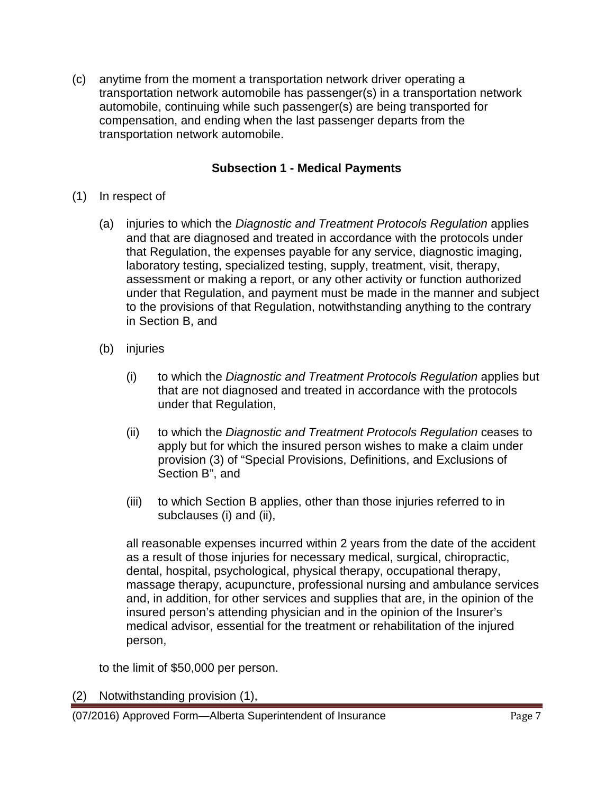(c) anytime from the moment a transportation network driver operating a transportation network automobile has passenger(s) in a transportation network automobile, continuing while such passenger(s) are being transported for compensation, and ending when the last passenger departs from the transportation network automobile.

# **Subsection 1 - Medical Payments**

- (1) In respect of
	- (a) injuries to which the *Diagnostic and Treatment Protocols Regulation* applies and that are diagnosed and treated in accordance with the protocols under that Regulation, the expenses payable for any service, diagnostic imaging, laboratory testing, specialized testing, supply, treatment, visit, therapy, assessment or making a report, or any other activity or function authorized under that Regulation, and payment must be made in the manner and subject to the provisions of that Regulation, notwithstanding anything to the contrary in Section B, and
	- (b) injuries
		- (i) to which the *Diagnostic and Treatment Protocols Regulation* applies but that are not diagnosed and treated in accordance with the protocols under that Regulation,
		- (ii) to which the *Diagnostic and Treatment Protocols Regulation* ceases to apply but for which the insured person wishes to make a claim under provision (3) of "Special Provisions, Definitions, and Exclusions of Section B", and
		- (iii) to which Section B applies, other than those injuries referred to in subclauses (i) and (ii),

all reasonable expenses incurred within 2 years from the date of the accident as a result of those injuries for necessary medical, surgical, chiropractic, dental, hospital, psychological, physical therapy, occupational therapy, massage therapy, acupuncture, professional nursing and ambulance services and, in addition, for other services and supplies that are, in the opinion of the insured person's attending physician and in the opinion of the Insurer's medical advisor, essential for the treatment or rehabilitation of the injured person,

to the limit of \$50,000 per person.

(2) Notwithstanding provision (1),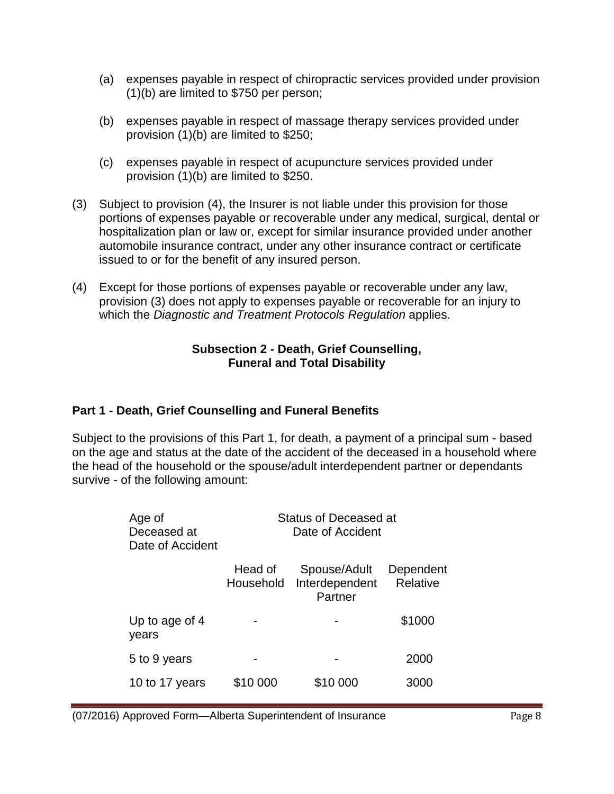- (a) expenses payable in respect of chiropractic services provided under provision (1)(b) are limited to \$750 per person;
- (b) expenses payable in respect of massage therapy services provided under provision (1)(b) are limited to \$250;
- (c) expenses payable in respect of acupuncture services provided under provision (1)(b) are limited to \$250.
- (3) Subject to provision (4), the Insurer is not liable under this provision for those portions of expenses payable or recoverable under any medical, surgical, dental or hospitalization plan or law or, except for similar insurance provided under another automobile insurance contract, under any other insurance contract or certificate issued to or for the benefit of any insured person.
- (4) Except for those portions of expenses payable or recoverable under any law, provision (3) does not apply to expenses payable or recoverable for an injury to which the *Diagnostic and Treatment Protocols Regulation* applies.

#### **Subsection 2 - Death, Grief Counselling, Funeral and Total Disability**

# **Part 1 - Death, Grief Counselling and Funeral Benefits**

Subject to the provisions of this Part 1, for death, a payment of a principal sum - based on the age and status at the date of the accident of the deceased in a household where the head of the household or the spouse/adult interdependent partner or dependants survive - of the following amount:

| Age of<br>Deceased at<br>Date of Accident | Status of Deceased at<br>Date of Accident |                                           |                       |  |  |  |
|-------------------------------------------|-------------------------------------------|-------------------------------------------|-----------------------|--|--|--|
|                                           | Head of<br>Household                      | Spouse/Adult<br>Interdependent<br>Partner | Dependent<br>Relative |  |  |  |
| Up to age of 4<br>years                   |                                           |                                           | \$1000                |  |  |  |
| 5 to 9 years                              |                                           |                                           | 2000                  |  |  |  |
| 10 to 17 years                            | \$10 000                                  | \$10 000                                  | 3000                  |  |  |  |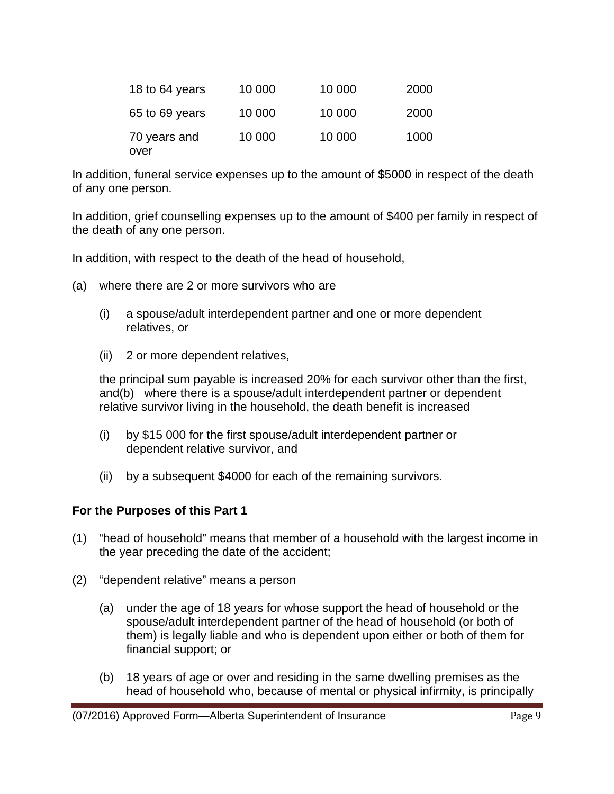| 18 to 64 years       | 10 000 | 10 000 | 2000 |
|----------------------|--------|--------|------|
| 65 to 69 years       | 10 000 | 10 000 | 2000 |
| 70 years and<br>over | 10 000 | 10 000 | 1000 |

In addition, funeral service expenses up to the amount of \$5000 in respect of the death of any one person.

In addition, grief counselling expenses up to the amount of \$400 per family in respect of the death of any one person.

In addition, with respect to the death of the head of household,

- (a) where there are 2 or more survivors who are
	- (i) a spouse/adult interdependent partner and one or more dependent relatives, or
	- (ii) 2 or more dependent relatives,

the principal sum payable is increased 20% for each survivor other than the first, and(b) where there is a spouse/adult interdependent partner or dependent relative survivor living in the household, the death benefit is increased

- (i) by \$15 000 for the first spouse/adult interdependent partner or dependent relative survivor, and
- (ii) by a subsequent \$4000 for each of the remaining survivors.

#### **For the Purposes of this Part 1**

- (1) "head of household" means that member of a household with the largest income in the year preceding the date of the accident;
- (2) "dependent relative" means a person
	- (a) under the age of 18 years for whose support the head of household or the spouse/adult interdependent partner of the head of household (or both of them) is legally liable and who is dependent upon either or both of them for financial support; or
	- (b) 18 years of age or over and residing in the same dwelling premises as the head of household who, because of mental or physical infirmity, is principally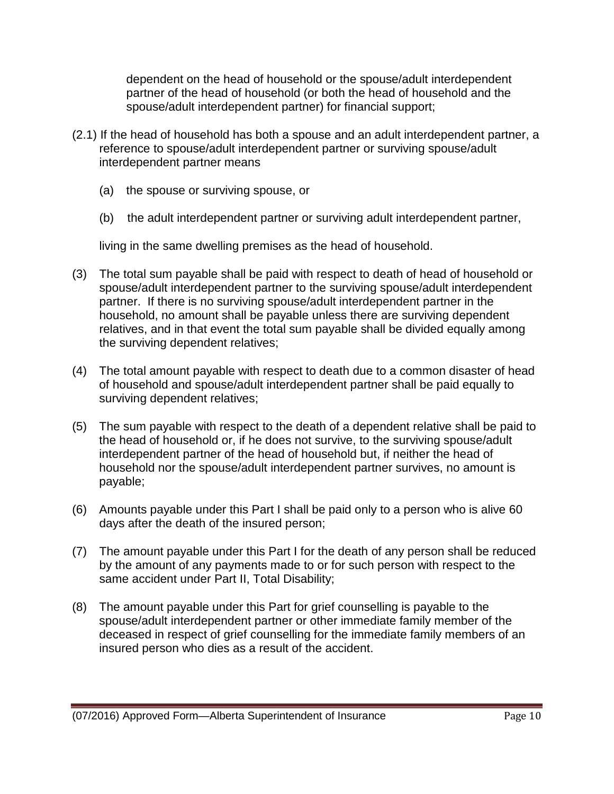dependent on the head of household or the spouse/adult interdependent partner of the head of household (or both the head of household and the spouse/adult interdependent partner) for financial support;

- (2.1) If the head of household has both a spouse and an adult interdependent partner, a reference to spouse/adult interdependent partner or surviving spouse/adult interdependent partner means
	- (a) the spouse or surviving spouse, or
	- (b) the adult interdependent partner or surviving adult interdependent partner,

living in the same dwelling premises as the head of household.

- (3) The total sum payable shall be paid with respect to death of head of household or spouse/adult interdependent partner to the surviving spouse/adult interdependent partner. If there is no surviving spouse/adult interdependent partner in the household, no amount shall be payable unless there are surviving dependent relatives, and in that event the total sum payable shall be divided equally among the surviving dependent relatives;
- (4) The total amount payable with respect to death due to a common disaster of head of household and spouse/adult interdependent partner shall be paid equally to surviving dependent relatives;
- (5) The sum payable with respect to the death of a dependent relative shall be paid to the head of household or, if he does not survive, to the surviving spouse/adult interdependent partner of the head of household but, if neither the head of household nor the spouse/adult interdependent partner survives, no amount is payable;
- (6) Amounts payable under this Part I shall be paid only to a person who is alive 60 days after the death of the insured person;
- (7) The amount payable under this Part I for the death of any person shall be reduced by the amount of any payments made to or for such person with respect to the same accident under Part II, Total Disability;
- (8) The amount payable under this Part for grief counselling is payable to the spouse/adult interdependent partner or other immediate family member of the deceased in respect of grief counselling for the immediate family members of an insured person who dies as a result of the accident.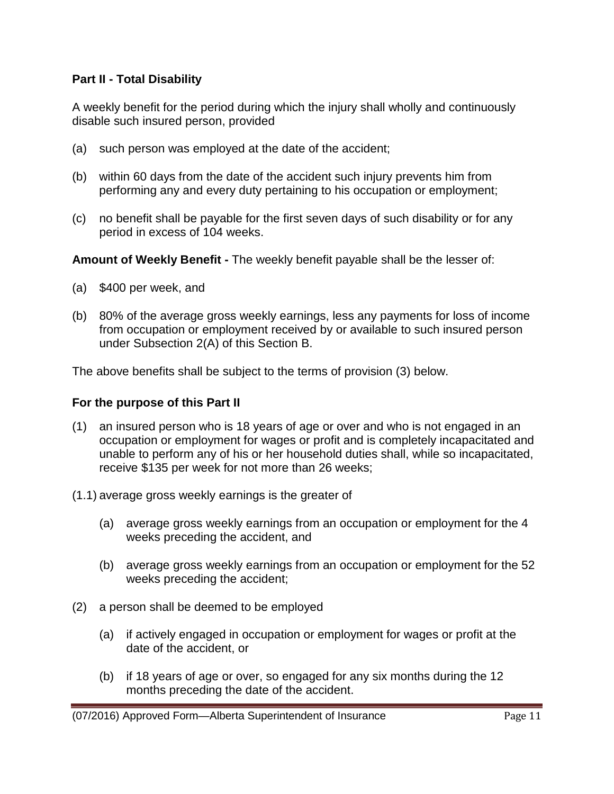### **Part II - Total Disability**

A weekly benefit for the period during which the injury shall wholly and continuously disable such insured person, provided

- (a) such person was employed at the date of the accident;
- (b) within 60 days from the date of the accident such injury prevents him from performing any and every duty pertaining to his occupation or employment;
- (c) no benefit shall be payable for the first seven days of such disability or for any period in excess of 104 weeks.

**Amount of Weekly Benefit -** The weekly benefit payable shall be the lesser of:

- (a) \$400 per week, and
- (b) 80% of the average gross weekly earnings, less any payments for loss of income from occupation or employment received by or available to such insured person under Subsection 2(A) of this Section B.

The above benefits shall be subject to the terms of provision (3) below.

#### **For the purpose of this Part II**

- (1) an insured person who is 18 years of age or over and who is not engaged in an occupation or employment for wages or profit and is completely incapacitated and unable to perform any of his or her household duties shall, while so incapacitated, receive \$135 per week for not more than 26 weeks;
- (1.1) average gross weekly earnings is the greater of
	- (a) average gross weekly earnings from an occupation or employment for the 4 weeks preceding the accident, and
	- (b) average gross weekly earnings from an occupation or employment for the 52 weeks preceding the accident;
- (2) a person shall be deemed to be employed
	- (a) if actively engaged in occupation or employment for wages or profit at the date of the accident, or
	- (b) if 18 years of age or over, so engaged for any six months during the 12 months preceding the date of the accident.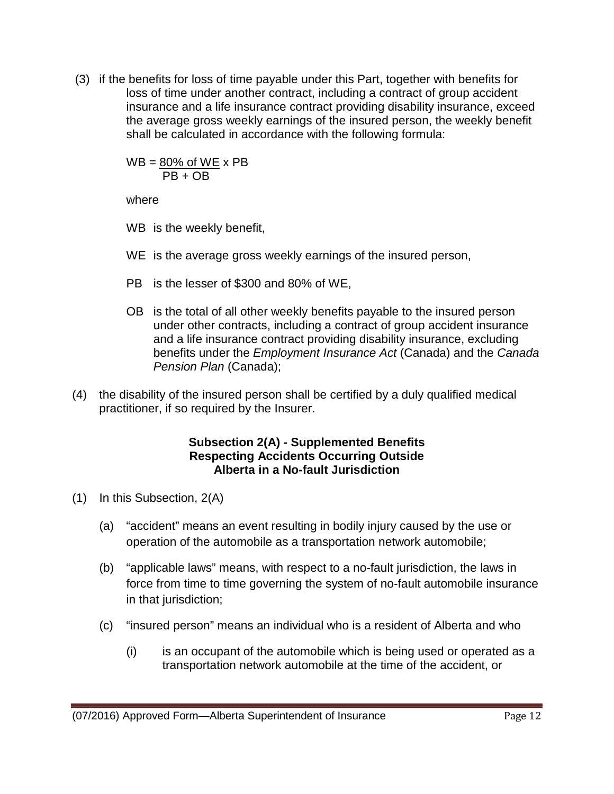(3) if the benefits for loss of time payable under this Part, together with benefits for loss of time under another contract, including a contract of group accident insurance and a life insurance contract providing disability insurance, exceed the average gross weekly earnings of the insured person, the weekly benefit shall be calculated in accordance with the following formula:

> $WB = 80\%$  of  $WE \times PB$  $PR + OR$

where

- WB is the weekly benefit,
- WE is the average gross weekly earnings of the insured person,
- PB is the lesser of \$300 and 80% of WE,
- OB is the total of all other weekly benefits payable to the insured person under other contracts, including a contract of group accident insurance and a life insurance contract providing disability insurance, excluding benefits under the *Employment Insurance Act* (Canada) and the *Canada*  **Pension Plan (Canada);**
- (4) the disability of the insured person shall be certified by a duly qualified medical practitioner, if so required by the Insurer.

### **Subsection 2(A) - Supplemented Benefits Respecting Accidents Occurring Outside Alberta in a No-fault Jurisdiction**

- (1) In this Subsection, 2(A)
	- (a) "accident" means an event resulting in bodily injury caused by the use or operation of the automobile as a transportation network automobile;
	- (b) "applicable laws" means, with respect to a no-fault jurisdiction, the laws in force from time to time governing the system of no-fault automobile insurance in that jurisdiction;
	- (c) "insured person" means an individual who is a resident of Alberta and who
		- (i) is an occupant of the automobile which is being used or operated as a transportation network automobile at the time of the accident, or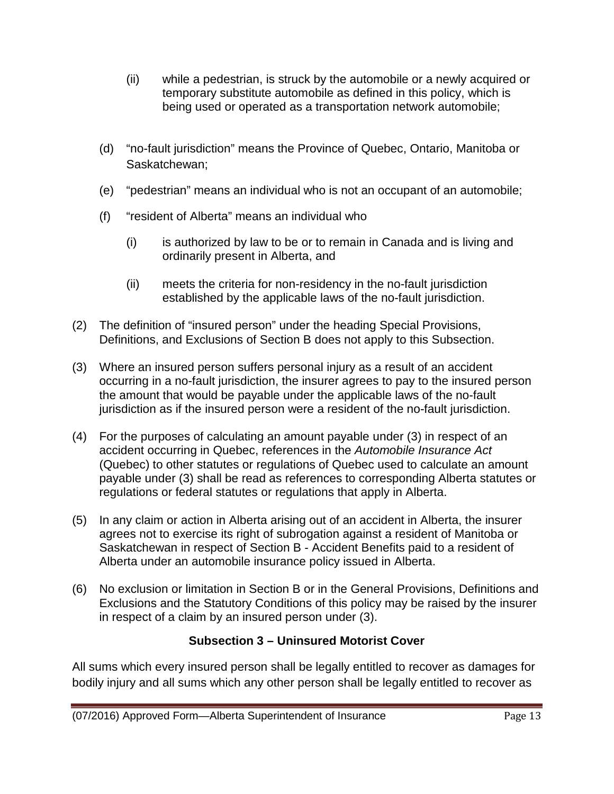- (ii) while a pedestrian, is struck by the automobile or a newly acquired or temporary substitute automobile as defined in this policy, which is being used or operated as a transportation network automobile;
- (d) "no-fault jurisdiction" means the Province of Quebec, Ontario, Manitoba or Saskatchewan;
- (e) "pedestrian" means an individual who is not an occupant of an automobile;
- (f) "resident of Alberta" means an individual who
	- (i) is authorized by law to be or to remain in Canada and is living and ordinarily present in Alberta, and
	- (ii) meets the criteria for non-residency in the no-fault jurisdiction established by the applicable laws of the no-fault jurisdiction.
- (2) The definition of "insured person" under the heading Special Provisions, Definitions, and Exclusions of Section B does not apply to this Subsection.
- (3) Where an insured person suffers personal injury as a result of an accident occurring in a no-fault jurisdiction, the insurer agrees to pay to the insured person the amount that would be payable under the applicable laws of the no-fault jurisdiction as if the insured person were a resident of the no-fault jurisdiction.
- (4) For the purposes of calculating an amount payable under (3) in respect of an accident occurring in Quebec, references in the *Automobile Insurance Act* (Quebec) to other statutes or regulations of Quebec used to calculate an amount payable under (3) shall be read as references to corresponding Alberta statutes or regulations or federal statutes or regulations that apply in Alberta.
- (5) In any claim or action in Alberta arising out of an accident in Alberta, the insurer agrees not to exercise its right of subrogation against a resident of Manitoba or Saskatchewan in respect of Section B - Accident Benefits paid to a resident of Alberta under an automobile insurance policy issued in Alberta.
- (6) No exclusion or limitation in Section B or in the General Provisions, Definitions and Exclusions and the Statutory Conditions of this policy may be raised by the insurer in respect of a claim by an insured person under (3).

# **Subsection 3 – Uninsured Motorist Cover**

All sums which every insured person shall be legally entitled to recover as damages for bodily injury and all sums which any other person shall be legally entitled to recover as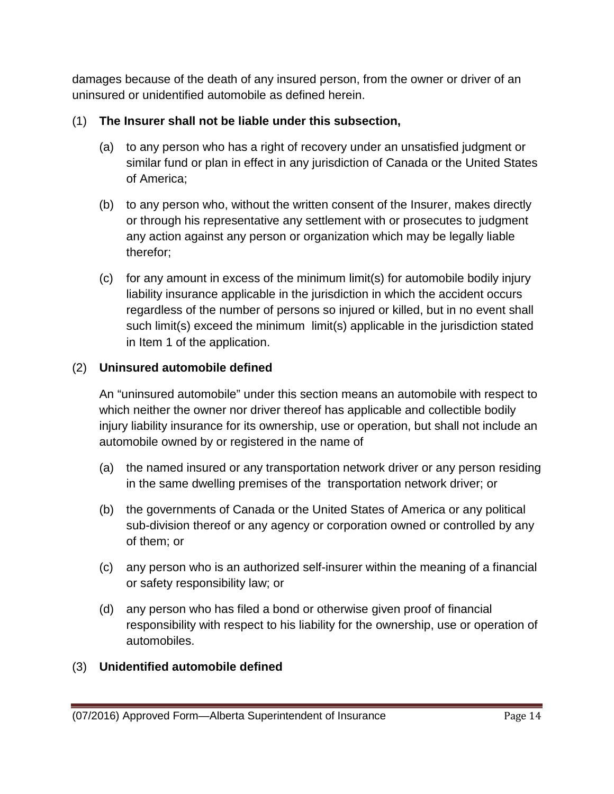damages because of the death of any insured person, from the owner or driver of an uninsured or unidentified automobile as defined herein.

# (1) **The Insurer shall not be liable under this subsection,**

- (a) to any person who has a right of recovery under an unsatisfied judgment or similar fund or plan in effect in any jurisdiction of Canada or the United States of America;
- (b) to any person who, without the written consent of the Insurer, makes directly or through his representative any settlement with or prosecutes to judgment any action against any person or organization which may be legally liable therefor;
- (c) for any amount in excess of the minimum limit(s) for automobile bodily injury liability insurance applicable in the jurisdiction in which the accident occurs regardless of the number of persons so injured or killed, but in no event shall such limit(s) exceed the minimum limit(s) applicable in the jurisdiction stated in Item 1 of the application.

# (2) **Uninsured automobile defined**

An "uninsured automobile" under this section means an automobile with respect to which neither the owner nor driver thereof has applicable and collectible bodily injury liability insurance for its ownership, use or operation, but shall not include an automobile owned by or registered in the name of

- (a) the named insured or any transportation network driver or any person residing in the same dwelling premises of the transportation network driver; or
- (b) the governments of Canada or the United States of America or any political sub-division thereof or any agency or corporation owned or controlled by any of them; or
- (c) any person who is an authorized self-insurer within the meaning of a financial or safety responsibility law; or
- (d) any person who has filed a bond or otherwise given proof of financial responsibility with respect to his liability for the ownership, use or operation of automobiles.

# (3) **Unidentified automobile defined**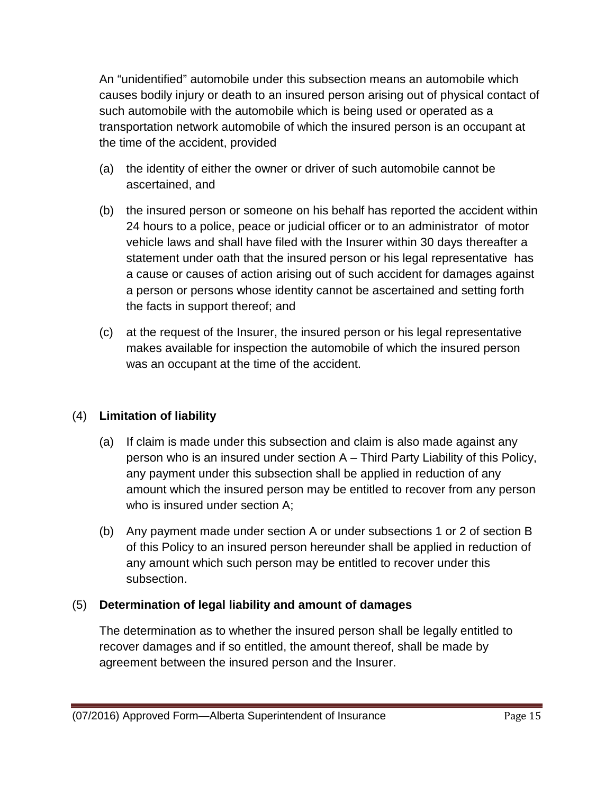An "unidentified" automobile under this subsection means an automobile which causes bodily injury or death to an insured person arising out of physical contact of such automobile with the automobile which is being used or operated as a transportation network automobile of which the insured person is an occupant at the time of the accident, provided

- (a) the identity of either the owner or driver of such automobile cannot be ascertained, and
- (b) the insured person or someone on his behalf has reported the accident within 24 hours to a police, peace or judicial officer or to an administrator of motor vehicle laws and shall have filed with the Insurer within 30 days thereafter a statement under oath that the insured person or his legal representative has a cause or causes of action arising out of such accident for damages against a person or persons whose identity cannot be ascertained and setting forth the facts in support thereof; and
- (c) at the request of the Insurer, the insured person or his legal representative makes available for inspection the automobile of which the insured person was an occupant at the time of the accident.

# (4) **Limitation of liability**

- (a) If claim is made under this subsection and claim is also made against any person who is an insured under section A – Third Party Liability of this Policy, any payment under this subsection shall be applied in reduction of any amount which the insured person may be entitled to recover from any person who is insured under section A;
- (b) Any payment made under section A or under subsections 1 or 2 of section B of this Policy to an insured person hereunder shall be applied in reduction of any amount which such person may be entitled to recover under this subsection.

### (5) **Determination of legal liability and amount of damages**

The determination as to whether the insured person shall be legally entitled to recover damages and if so entitled, the amount thereof, shall be made by agreement between the insured person and the Insurer.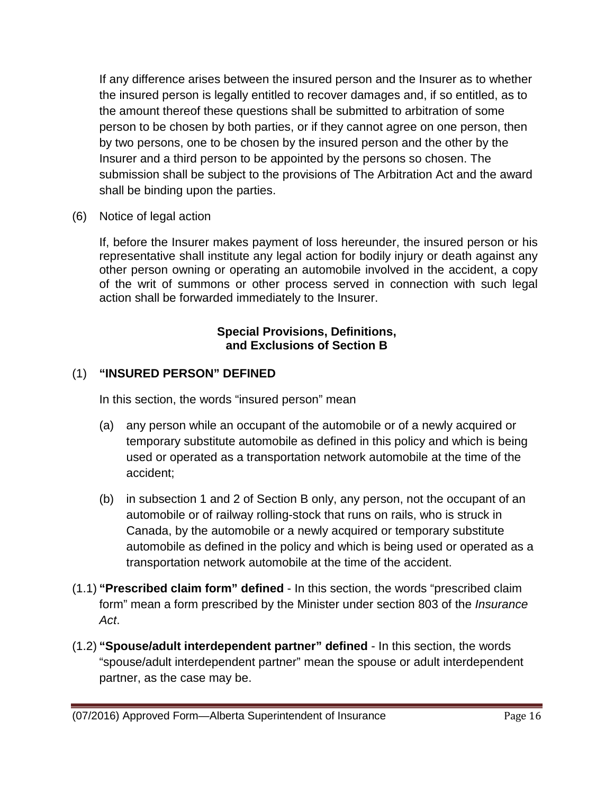If any difference arises between the insured person and the Insurer as to whether the insured person is legally entitled to recover damages and, if so entitled, as to the amount thereof these questions shall be submitted to arbitration of some person to be chosen by both parties, or if they cannot agree on one person, then by two persons, one to be chosen by the insured person and the other by the Insurer and a third person to be appointed by the persons so chosen. The submission shall be subject to the provisions of The Arbitration Act and the award shall be binding upon the parties.

(6)Notice of legal action

If, before the Insurer makes payment of loss hereunder, the insured person or his representative shall institute any legal action for bodily injury or death against any other person owning or operating an automobile involved in the accident, a copy of the writ of summons or other process served in connection with such legal action shall be forwarded immediately to the Insurer.

# **Special Provisions, Definitions, and Exclusions of Section B**

# (1) **"INSURED PERSON" DEFINED**

In this section, the words "insured person" mean

- (a) any person while an occupant of the automobile or of a newly acquired or temporary substitute automobile as defined in this policy and which is being used or operated as a transportation network automobile at the time of the accident;
- (b) in subsection 1 and 2 of Section B only, any person, not the occupant of an automobile or of railway rolling-stock that runs on rails, who is struck in Canada, by the automobile or a newly acquired or temporary substitute automobile as defined in the policy and which is being used or operated as a transportation network automobile at the time of the accident.
- (1.1) **"Prescribed claim form" defined**  In this section, the words "prescribed claim form" mean a form prescribed by the Minister under section 803 of the *Insurance Act*.
- (1.2) **"Spouse/adult interdependent partner" defined**  In this section, the words "spouse/adult interdependent partner" mean the spouse or adult interdependent partner, as the case may be.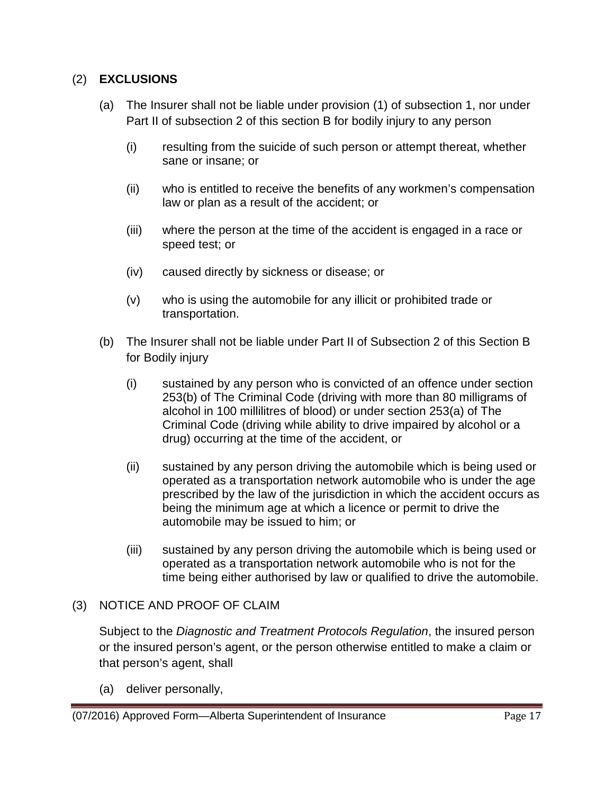### (2) **EXCLUSIONS**

- (a) The Insurer shall not be liable under provision (1) of subsection 1, nor under Part II of subsection 2 of this section B for bodily injury to any person
	- (i) resulting from the suicide of such person or attempt thereat, whether sane or insane; or
	- (ii) who is entitled to receive the benefits of any workmen's compensation law or plan as a result of the accident; or
	- (iii) where the person at the time of the accident is engaged in a race or speed test; or
	- (iv) caused directly by sickness or disease; or
	- (v) who is using the automobile for any illicit or prohibited trade or transportation.
- (b) The Insurer shall not be liable under Part II of Subsection 2 of this Section B for Bodily injury
	- (i) sustained by any person who is convicted of an offence under section 253(b) of The Criminal Code (driving with more than 80 milligrams of alcohol in 100 millilitres of blood) or under section 253(a) of The Criminal Code (driving while ability to drive impaired by alcohol or a drug) occurring at the time of the accident, or
	- (ii) sustained by any person driving the automobile which is being used or operated as a transportation network automobile who is under the age prescribed by the law of the jurisdiction in which the accident occurs as being the minimum age at which a licence or permit to drive the automobile may be issued to him; or
	- (iii) sustained by any person driving the automobile which is being used or operated as a transportation network automobile who is not for the time being either authorised by law or qualified to drive the automobile.

### (3)NOTICE AND PROOF OF CLAIM

Subject to the *Diagnostic and Treatment Protocols Regulation*, the insured person or the insured person's agent, or the person otherwise entitled to make a claim or that person's agent, shall

(a) deliver personally,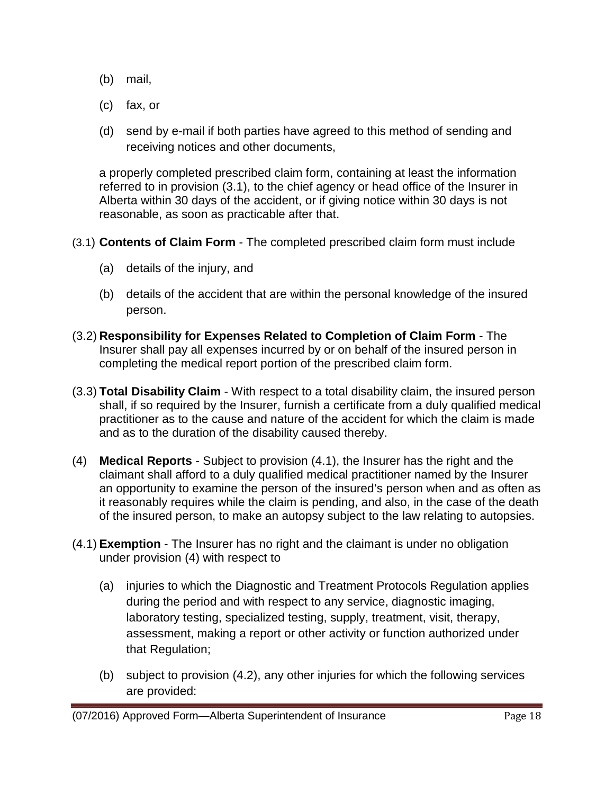- (b) mail,
- (c) fax, or
- (d) send by e-mail if both parties have agreed to this method of sending and receiving notices and other documents,

a properly completed prescribed claim form, containing at least the information referred to in provision (3.1), to the chief agency or head office of the Insurer in Alberta within 30 days of the accident, or if giving notice within 30 days is not reasonable, as soon as practicable after that.

- (3.1) **Contents of Claim Form** The completed prescribed claim form must include
	- (a) details of the injury, and
	- (b) details of the accident that are within the personal knowledge of the insured person.
- (3.2) **Responsibility for Expenses Related to Completion of Claim Form** The Insurer shall pay all expenses incurred by or on behalf of the insured person in completing the medical report portion of the prescribed claim form.
- (3.3) **Total Disability Claim** With respect to a total disability claim, the insured person shall, if so required by the Insurer, furnish a certificate from a duly qualified medical practitioner as to the cause and nature of the accident for which the claim is made and as to the duration of the disability caused thereby.
- (4) **Medical Reports** Subject to provision (4.1), the Insurer has the right and the claimant shall afford to a duly qualified medical practitioner named by the Insurer an opportunity to examine the person of the insured's person when and as often as it reasonably requires while the claim is pending, and also, in the case of the death of the insured person, to make an autopsy subject to the law relating to autopsies.
- (4.1) **Exemption** The Insurer has no right and the claimant is under no obligation under provision (4) with respect to
	- (a) injuries to which the Diagnostic and Treatment Protocols Regulation applies during the period and with respect to any service, diagnostic imaging, laboratory testing, specialized testing, supply, treatment, visit, therapy, assessment, making a report or other activity or function authorized under that Regulation;
	- (b) subject to provision (4.2), any other injuries for which the following services are provided: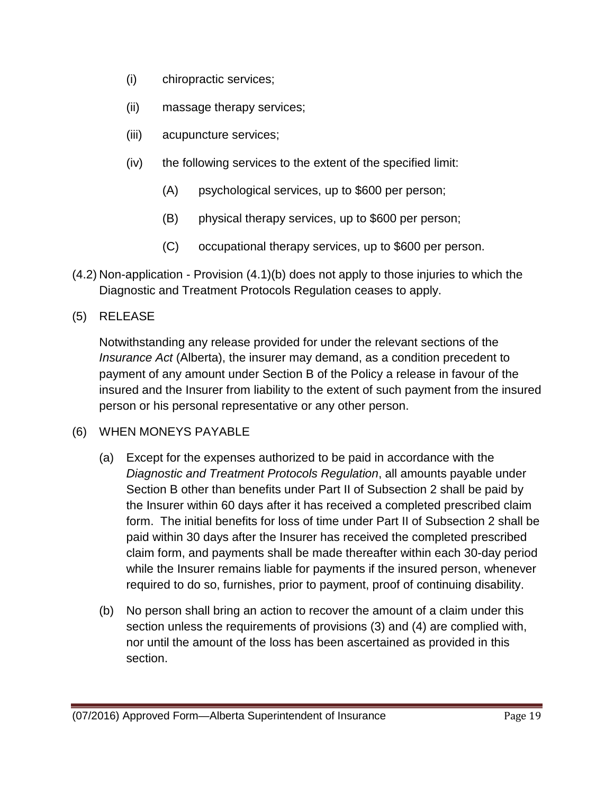- (i) chiropractic services;
- (ii) massage therapy services;
- (iii) acupuncture services;
- (iv) the following services to the extent of the specified limit:
	- (A) psychological services, up to \$600 per person;
	- (B) physical therapy services, up to \$600 per person;
	- (C) occupational therapy services, up to \$600 per person.
- (4.2) Non-application Provision (4.1)(b) does not apply to those injuries to which the Diagnostic and Treatment Protocols Regulation ceases to apply.

# (5) RELEASE

Notwithstanding any release provided for under the relevant sections of the *Insurance Act* (Alberta), the insurer may demand, as a condition precedent to payment of any amount under Section B of the Policy a release in favour of the insured and the Insurer from liability to the extent of such payment from the insured person or his personal representative or any other person.

### (6) WHEN MONEYS PAYABLE

- (a) Except for the expenses authorized to be paid in accordance with the *Diagnostic and Treatment Protocols Regulation*, all amounts payable under Section B other than benefits under Part II of Subsection 2 shall be paid by the Insurer within 60 days after it has received a completed prescribed claim form. The initial benefits for loss of time under Part II of Subsection 2 shall be paid within 30 days after the Insurer has received the completed prescribed claim form, and payments shall be made thereafter within each 30-day period while the Insurer remains liable for payments if the insured person, whenever required to do so, furnishes, prior to payment, proof of continuing disability.
- (b) No person shall bring an action to recover the amount of a claim under this section unless the requirements of provisions (3) and (4) are complied with, nor until the amount of the loss has been ascertained as provided in this section.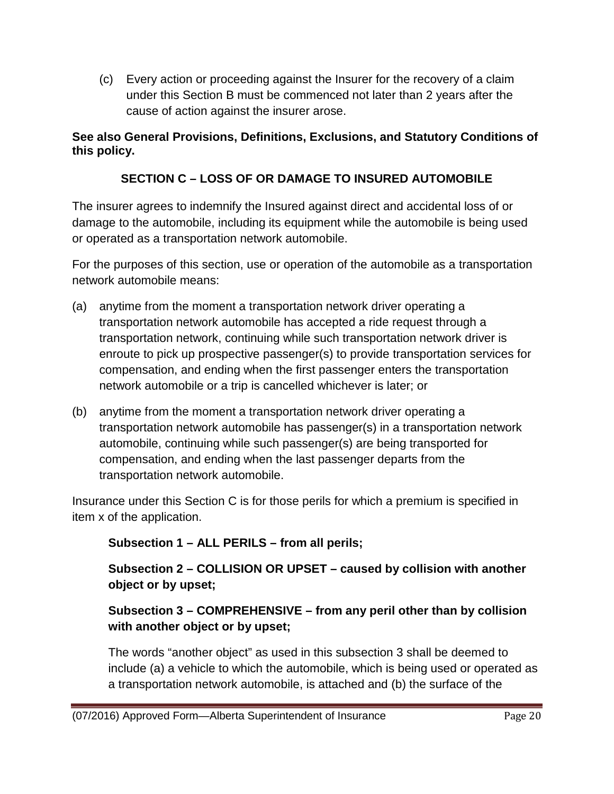(c) Every action or proceeding against the Insurer for the recovery of a claim under this Section B must be commenced not later than 2 years after the cause of action against the insurer arose.

# **See also General Provisions, Definitions, Exclusions, and Statutory Conditions of this policy.**

# **SECTION C – LOSS OF OR DAMAGE TO INSURED AUTOMOBILE**

The insurer agrees to indemnify the Insured against direct and accidental loss of or damage to the automobile, including its equipment while the automobile is being used or operated as a transportation network automobile.

For the purposes of this section, use or operation of the automobile as a transportation network automobile means:

- (a) anytime from the moment a transportation network driver operating a transportation network automobile has accepted a ride request through a transportation network, continuing while such transportation network driver is enroute to pick up prospective passenger(s) to provide transportation services for compensation, and ending when the first passenger enters the transportation network automobile or a trip is cancelled whichever is later; or
- (b) anytime from the moment a transportation network driver operating a transportation network automobile has passenger(s) in a transportation network automobile, continuing while such passenger(s) are being transported for compensation, and ending when the last passenger departs from the transportation network automobile.

Insurance under this Section C is for those perils for which a premium is specified in item x of the application.

**Subsection 1 – ALL PERILS – from all perils;**

**Subsection 2 – COLLISION OR UPSET – caused by collision with another object or by upset;**

# **Subsection 3 – COMPREHENSIVE – from any peril other than by collision with another object or by upset;**

The words "another object" as used in this subsection 3 shall be deemed to include (a) a vehicle to which the automobile, which is being used or operated as a transportation network automobile, is attached and (b) the surface of the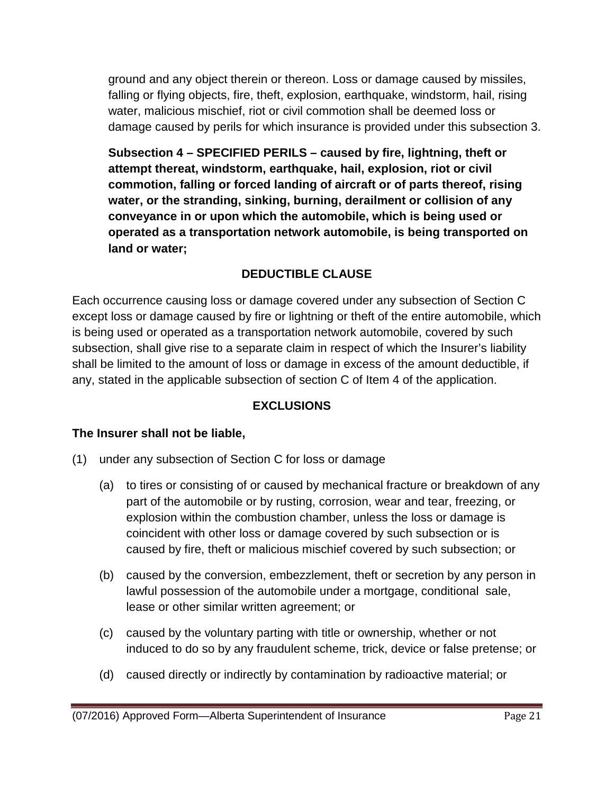ground and any object therein or thereon. Loss or damage caused by missiles, falling or flying objects, fire, theft, explosion, earthquake, windstorm, hail, rising water, malicious mischief, riot or civil commotion shall be deemed loss or damage caused by perils for which insurance is provided under this subsection 3.

**Subsection 4 – SPECIFIED PERILS – caused by fire, lightning, theft or attempt thereat, windstorm, earthquake, hail, explosion, riot or civil commotion, falling or forced landing of aircraft or of parts thereof, rising water, or the stranding, sinking, burning, derailment or collision of any conveyance in or upon which the automobile, which is being used or operated as a transportation network automobile, is being transported on land or water;**

# **DEDUCTIBLE CLAUSE**

Each occurrence causing loss or damage covered under any subsection of Section C except loss or damage caused by fire or lightning or theft of the entire automobile, which is being used or operated as a transportation network automobile, covered by such subsection, shall give rise to a separate claim in respect of which the Insurer's liability shall be limited to the amount of loss or damage in excess of the amount deductible, if any, stated in the applicable subsection of section C of Item 4 of the application.

# **EXCLUSIONS**

# **The Insurer shall not be liable,**

- (1) under any subsection of Section C for loss or damage
	- (a) to tires or consisting of or caused by mechanical fracture or breakdown of any part of the automobile or by rusting, corrosion, wear and tear, freezing, or explosion within the combustion chamber, unless the loss or damage is coincident with other loss or damage covered by such subsection or is caused by fire, theft or malicious mischief covered by such subsection; or
	- (b) caused by the conversion, embezzlement, theft or secretion by any person in lawful possession of the automobile under a mortgage, conditional sale, lease or other similar written agreement; or
	- (c) caused by the voluntary parting with title or ownership, whether or not induced to do so by any fraudulent scheme, trick, device or false pretense; or
	- (d) caused directly or indirectly by contamination by radioactive material; or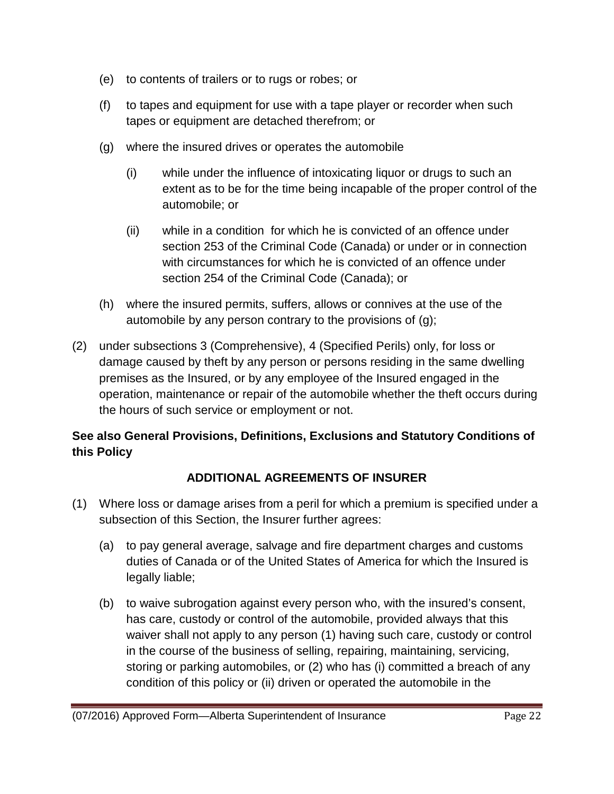- (e) to contents of trailers or to rugs or robes; or
- (f) to tapes and equipment for use with a tape player or recorder when such tapes or equipment are detached therefrom; or
- (g) where the insured drives or operates the automobile
	- (i) while under the influence of intoxicating liquor or drugs to such an extent as to be for the time being incapable of the proper control of the automobile; or
	- (ii) while in a condition for which he is convicted of an offence under section 253 of the Criminal Code (Canada) or under or in connection with circumstances for which he is convicted of an offence under section 254 of the Criminal Code (Canada); or
- (h) where the insured permits, suffers, allows or connives at the use of the automobile by any person contrary to the provisions of (g);
- (2) under subsections 3 (Comprehensive), 4 (Specified Perils) only, for loss or damage caused by theft by any person or persons residing in the same dwelling premises as the Insured, or by any employee of the Insured engaged in the operation, maintenance or repair of the automobile whether the theft occurs during the hours of such service or employment or not.

# **See also General Provisions, Definitions, Exclusions and Statutory Conditions of this Policy**

# **ADDITIONAL AGREEMENTS OF INSURER**

- (1) Where loss or damage arises from a peril for which a premium is specified under a subsection of this Section, the Insurer further agrees:
	- (a) to pay general average, salvage and fire department charges and customs duties of Canada or of the United States of America for which the Insured is legally liable;
	- (b) to waive subrogation against every person who, with the insured's consent, has care, custody or control of the automobile, provided always that this waiver shall not apply to any person (1) having such care, custody or control in the course of the business of selling, repairing, maintaining, servicing, storing or parking automobiles, or (2) who has (i) committed a breach of any condition of this policy or (ii) driven or operated the automobile in the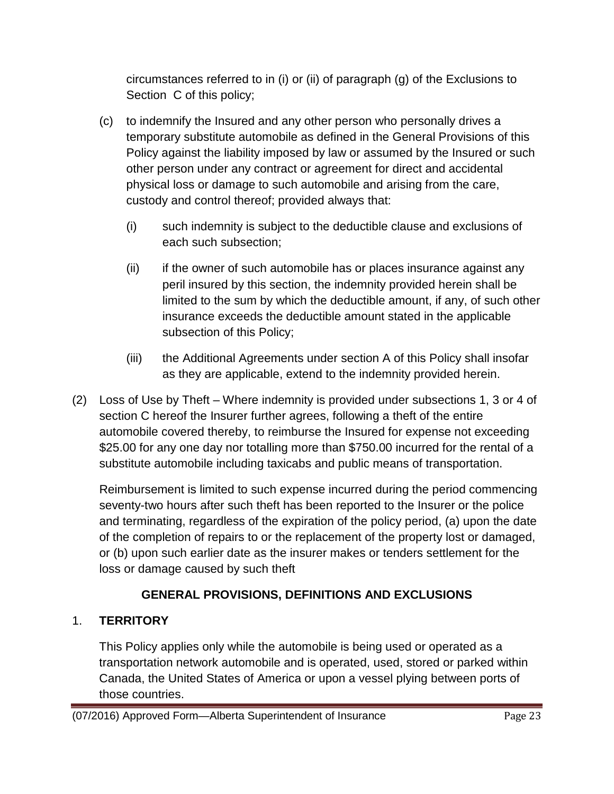circumstances referred to in (i) or (ii) of paragraph (g) of the Exclusions to Section C of this policy;

- (c) to indemnify the Insured and any other person who personally drives a temporary substitute automobile as defined in the General Provisions of this Policy against the liability imposed by law or assumed by the Insured or such other person under any contract or agreement for direct and accidental physical loss or damage to such automobile and arising from the care, custody and control thereof; provided always that:
	- (i) such indemnity is subject to the deductible clause and exclusions of each such subsection;
	- (ii) if the owner of such automobile has or places insurance against any peril insured by this section, the indemnity provided herein shall be limited to the sum by which the deductible amount, if any, of such other insurance exceeds the deductible amount stated in the applicable subsection of this Policy;
	- (iii) the Additional Agreements under section A of this Policy shall insofar as they are applicable, extend to the indemnity provided herein.
- (2) Loss of Use by Theft Where indemnity is provided under subsections 1, 3 or 4 of section C hereof the Insurer further agrees, following a theft of the entire automobile covered thereby, to reimburse the Insured for expense not exceeding \$25.00 for any one day nor totalling more than \$750.00 incurred for the rental of a substitute automobile including taxicabs and public means of transportation.

Reimbursement is limited to such expense incurred during the period commencing seventy-two hours after such theft has been reported to the Insurer or the police and terminating, regardless of the expiration of the policy period, (a) upon the date of the completion of repairs to or the replacement of the property lost or damaged, or (b) upon such earlier date as the insurer makes or tenders settlement for the loss or damage caused by such theft

# **GENERAL PROVISIONS, DEFINITIONS AND EXCLUSIONS**

# 1. **TERRITORY**

This Policy applies only while the automobile is being used or operated as a transportation network automobile and is operated, used, stored or parked within Canada, the United States of America or upon a vessel plying between ports of those countries.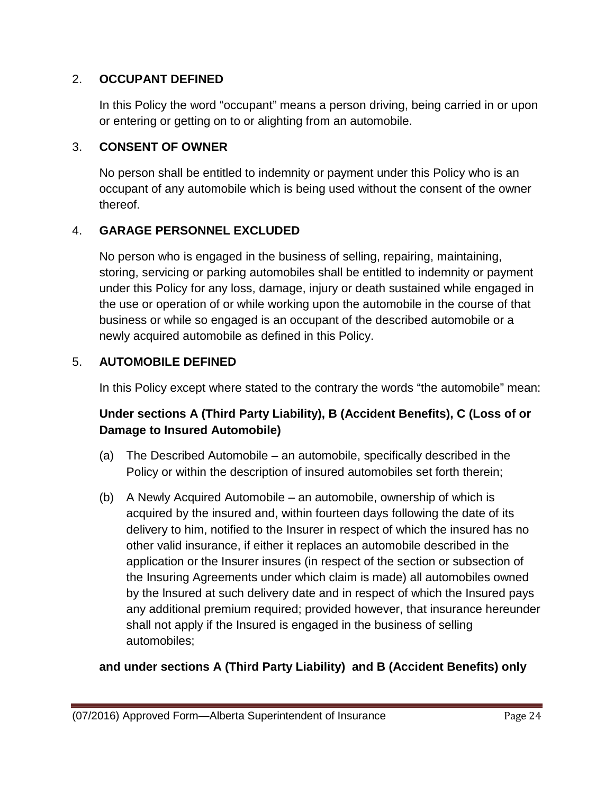# 2. **OCCUPANT DEFINED**

In this Policy the word "occupant" means a person driving, being carried in or upon or entering or getting on to or alighting from an automobile.

# 3. **CONSENT OF OWNER**

No person shall be entitled to indemnity or payment under this Policy who is an occupant of any automobile which is being used without the consent of the owner thereof.

# 4. **GARAGE PERSONNEL EXCLUDED**

No person who is engaged in the business of selling, repairing, maintaining, storing, servicing or parking automobiles shall be entitled to indemnity or payment under this Policy for any loss, damage, injury or death sustained while engaged in the use or operation of or while working upon the automobile in the course of that business or while so engaged is an occupant of the described automobile or a newly acquired automobile as defined in this Policy.

# 5. **AUTOMOBILE DEFINED**

In this Policy except where stated to the contrary the words "the automobile" mean:

# **Under sections A (Third Party Liability), B (Accident Benefits), C (Loss of or Damage to Insured Automobile)**

- (a) The Described Automobile an automobile, specifically described in the Policy or within the description of insured automobiles set forth therein;
- (b) A Newly Acquired Automobile an automobile, ownership of which is acquired by the insured and, within fourteen days following the date of its delivery to him, notified to the Insurer in respect of which the insured has no other valid insurance, if either it replaces an automobile described in the application or the Insurer insures (in respect of the section or subsection of the Insuring Agreements under which claim is made) all automobiles owned by the lnsured at such delivery date and in respect of which the Insured pays any additional premium required; provided however, that insurance hereunder shall not apply if the Insured is engaged in the business of selling automobiles;

# **and under sections A (Third Party Liability) and B (Accident Benefits) only**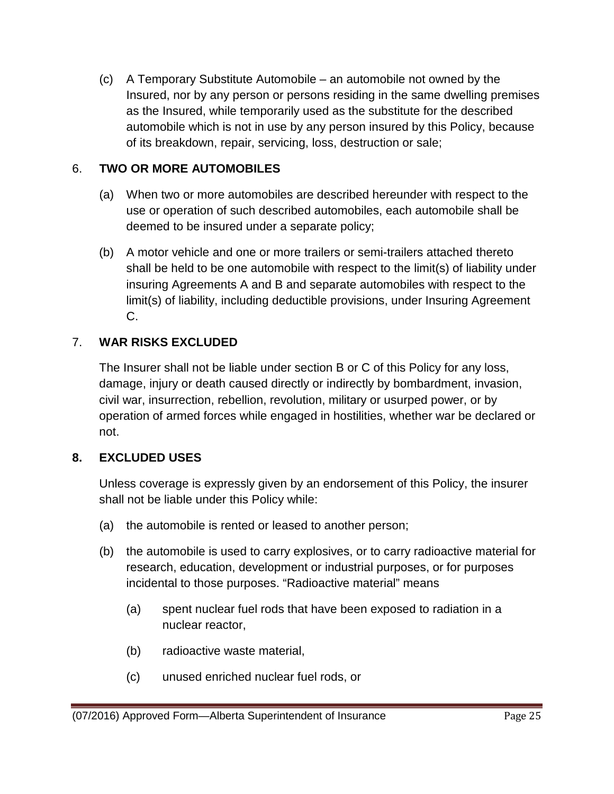(c) A Temporary Substitute Automobile – an automobile not owned by the Insured, nor by any person or persons residing in the same dwelling premises as the Insured, while temporarily used as the substitute for the described automobile which is not in use by any person insured by this Policy, because of its breakdown, repair, servicing, loss, destruction or sale;

# 6. **TWO OR MORE AUTOMOBILES**

- (a) When two or more automobiles are described hereunder with respect to the use or operation of such described automobiles, each automobile shall be deemed to be insured under a separate policy;
- (b) A motor vehicle and one or more trailers or semi-trailers attached thereto shall be held to be one automobile with respect to the limit(s) of liability under insuring Agreements A and B and separate automobiles with respect to the limit(s) of liability, including deductible provisions, under Insuring Agreement C.

# 7. **WAR RISKS EXCLUDED**

The Insurer shall not be liable under section B or C of this Policy for any loss, damage, injury or death caused directly or indirectly by bombardment, invasion, civil war, insurrection, rebellion, revolution, military or usurped power, or by operation of armed forces while engaged in hostilities, whether war be declared or not.

# **8. EXCLUDED USES**

Unless coverage is expressly given by an endorsement of this Policy, the insurer shall not be liable under this Policy while:

- (a) the automobile is rented or leased to another person;
- (b) the automobile is used to carry explosives, or to carry radioactive material for research, education, development or industrial purposes, or for purposes incidental to those purposes. "Radioactive material" means
	- (a) spent nuclear fuel rods that have been exposed to radiation in a nuclear reactor,
	- (b) radioactive waste material,
	- (c) unused enriched nuclear fuel rods, or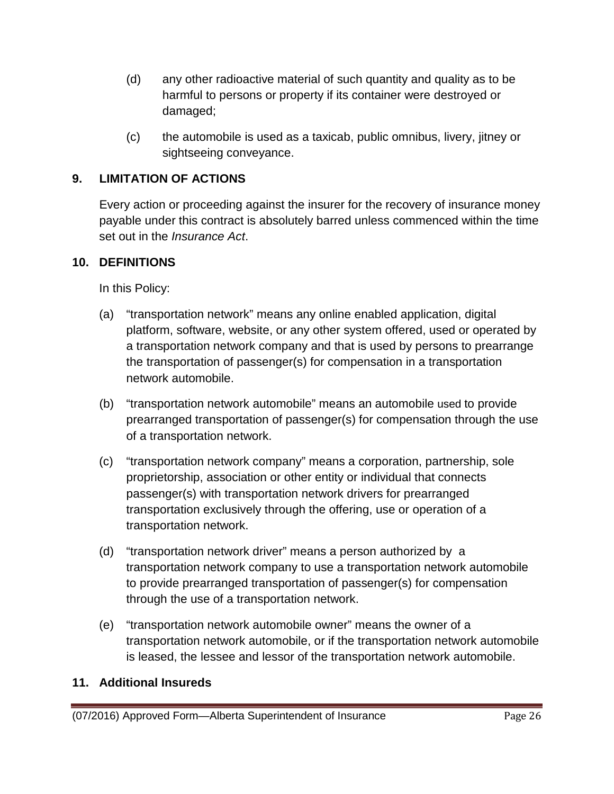- (d) any other radioactive material of such quantity and quality as to be harmful to persons or property if its container were destroyed or damaged;
- (c) the automobile is used as a taxicab, public omnibus, livery, jitney or sightseeing conveyance.

# **9. LIMITATION OF ACTIONS**

Every action or proceeding against the insurer for the recovery of insurance money payable under this contract is absolutely barred unless commenced within the time set out in the *Insurance Act*.

### **10. DEFINITIONS**

In this Policy:

- (a) "transportation network" means any online enabled application, digital platform, software, website, or any other system offered, used or operated by a transportation network company and that is used by persons to prearrange the transportation of passenger(s) for compensation in a transportation network automobile.
- (b) "transportation network automobile" means an automobile used to provide prearranged transportation of passenger(s) for compensation through the use of a transportation network.
- (c) "transportation network company" means a corporation, partnership, sole proprietorship, association or other entity or individual that connects passenger(s) with transportation network drivers for prearranged transportation exclusively through the offering, use or operation of a transportation network.
- (d) "transportation network driver" means a person authorized by a transportation network company to use a transportation network automobile to provide prearranged transportation of passenger(s) for compensation through the use of a transportation network.
- (e) "transportation network automobile owner" means the owner of a transportation network automobile, or if the transportation network automobile is leased, the lessee and lessor of the transportation network automobile.

#### **11. Additional Insureds**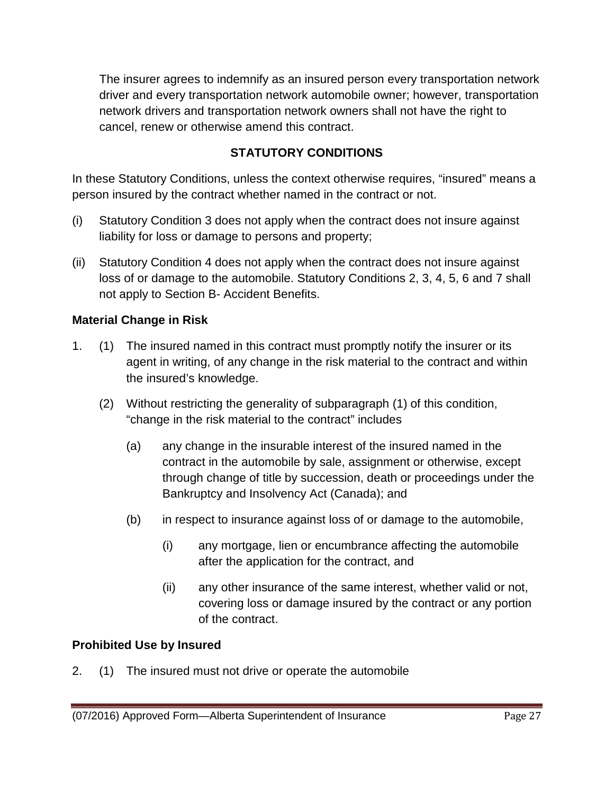The insurer agrees to indemnify as an insured person every transportation network driver and every transportation network automobile owner; however, transportation network drivers and transportation network owners shall not have the right to cancel, renew or otherwise amend this contract.

# **STATUTORY CONDITIONS**

In these Statutory Conditions, unless the context otherwise requires, "insured" means a person insured by the contract whether named in the contract or not.

- (i) Statutory Condition 3 does not apply when the contract does not insure against liability for loss or damage to persons and property;
- (ii) Statutory Condition 4 does not apply when the contract does not insure against loss of or damage to the automobile. Statutory Conditions 2, 3, 4, 5, 6 and 7 shall not apply to Section B- Accident Benefits.

# **Material Change in Risk**

- 1. (1) The insured named in this contract must promptly notify the insurer or its agent in writing, of any change in the risk material to the contract and within the insured's knowledge.
	- (2) Without restricting the generality of subparagraph (1) of this condition, "change in the risk material to the contract" includes
		- (a) any change in the insurable interest of the insured named in the contract in the automobile by sale, assignment or otherwise, except through change of title by succession, death or proceedings under the Bankruptcy and Insolvency Act (Canada); and
		- (b) in respect to insurance against loss of or damage to the automobile,
			- (i) any mortgage, lien or encumbrance affecting the automobile after the application for the contract, and
			- (ii) any other insurance of the same interest, whether valid or not, covering loss or damage insured by the contract or any portion of the contract.

### **Prohibited Use by Insured**

2. (1) The insured must not drive or operate the automobile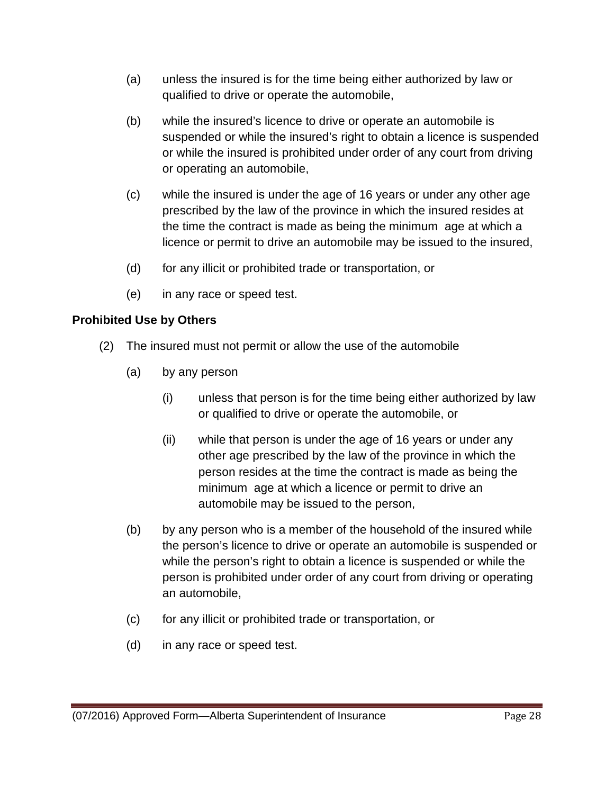- (a) unless the insured is for the time being either authorized by law or qualified to drive or operate the automobile,
- (b) while the insured's licence to drive or operate an automobile is suspended or while the insured's right to obtain a licence is suspended or while the insured is prohibited under order of any court from driving or operating an automobile,
- (c) while the insured is under the age of 16 years or under any other age prescribed by the law of the province in which the insured resides at the time the contract is made as being the minimum age at which a licence or permit to drive an automobile may be issued to the insured,
- (d) for any illicit or prohibited trade or transportation, or
- (e) in any race or speed test.

# **Prohibited Use by Others**

- (2) The insured must not permit or allow the use of the automobile
	- (a) by any person
		- (i) unless that person is for the time being either authorized by law or qualified to drive or operate the automobile, or
		- (ii) while that person is under the age of 16 years or under any other age prescribed by the law of the province in which the person resides at the time the contract is made as being the minimum age at which a licence or permit to drive an automobile may be issued to the person,
	- (b) by any person who is a member of the household of the insured while the person's licence to drive or operate an automobile is suspended or while the person's right to obtain a licence is suspended or while the person is prohibited under order of any court from driving or operating an automobile,
	- (c) for any illicit or prohibited trade or transportation, or
	- (d) in any race or speed test.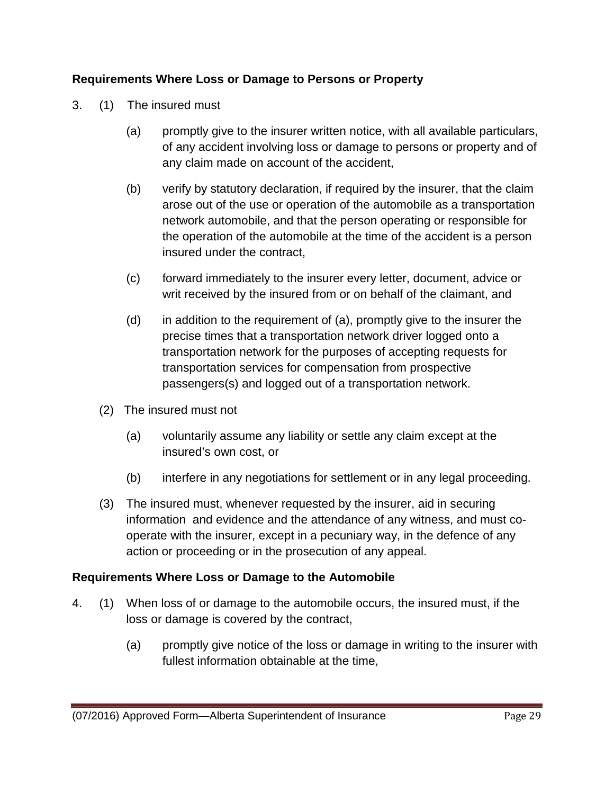# **Requirements Where Loss or Damage to Persons or Property**

- 3. (1) The insured must
	- (a) promptly give to the insurer written notice, with all available particulars, of any accident involving loss or damage to persons or property and of any claim made on account of the accident,
	- (b) verify by statutory declaration, if required by the insurer, that the claim arose out of the use or operation of the automobile as a transportation network automobile, and that the person operating or responsible for the operation of the automobile at the time of the accident is a person insured under the contract,
	- (c) forward immediately to the insurer every letter, document, advice or writ received by the insured from or on behalf of the claimant, and
	- (d) in addition to the requirement of (a), promptly give to the insurer the precise times that a transportation network driver logged onto a transportation network for the purposes of accepting requests for transportation services for compensation from prospective passengers(s) and logged out of a transportation network.
	- (2) The insured must not
		- (a) voluntarily assume any liability or settle any claim except at the insured's own cost, or
		- (b) interfere in any negotiations for settlement or in any legal proceeding.
	- (3) The insured must, whenever requested by the insurer, aid in securing information and evidence and the attendance of any witness, and must cooperate with the insurer, except in a pecuniary way, in the defence of any action or proceeding or in the prosecution of any appeal.

### **Requirements Where Loss or Damage to the Automobile**

- 4. (1) When loss of or damage to the automobile occurs, the insured must, if the loss or damage is covered by the contract,
	- (a) promptly give notice of the loss or damage in writing to the insurer with fullest information obtainable at the time,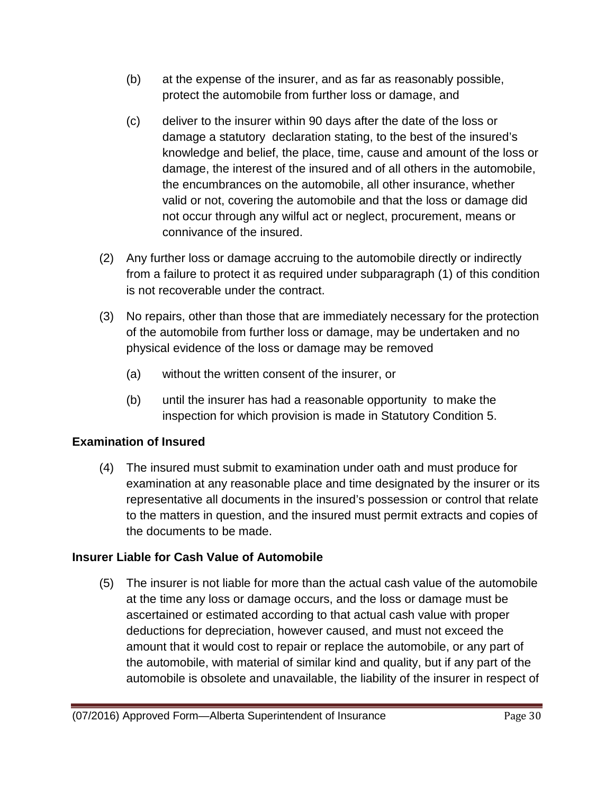- (b) at the expense of the insurer, and as far as reasonably possible, protect the automobile from further loss or damage, and
- (c) deliver to the insurer within 90 days after the date of the loss or damage a statutory declaration stating, to the best of the insured's knowledge and belief, the place, time, cause and amount of the loss or damage, the interest of the insured and of all others in the automobile, the encumbrances on the automobile, all other insurance, whether valid or not, covering the automobile and that the loss or damage did not occur through any wilful act or neglect, procurement, means or connivance of the insured.
- (2) Any further loss or damage accruing to the automobile directly or indirectly from a failure to protect it as required under subparagraph (1) of this condition is not recoverable under the contract.
- (3) No repairs, other than those that are immediately necessary for the protection of the automobile from further loss or damage, may be undertaken and no physical evidence of the loss or damage may be removed
	- (a) without the written consent of the insurer, or
	- (b) until the insurer has had a reasonable opportunity to make the inspection for which provision is made in Statutory Condition 5.

# **Examination of Insured**

(4) The insured must submit to examination under oath and must produce for examination at any reasonable place and time designated by the insurer or its representative all documents in the insured's possession or control that relate to the matters in question, and the insured must permit extracts and copies of the documents to be made.

# **Insurer Liable for Cash Value of Automobile**

(5) The insurer is not liable for more than the actual cash value of the automobile at the time any loss or damage occurs, and the loss or damage must be ascertained or estimated according to that actual cash value with proper deductions for depreciation, however caused, and must not exceed the amount that it would cost to repair or replace the automobile, or any part of the automobile, with material of similar kind and quality, but if any part of the automobile is obsolete and unavailable, the liability of the insurer in respect of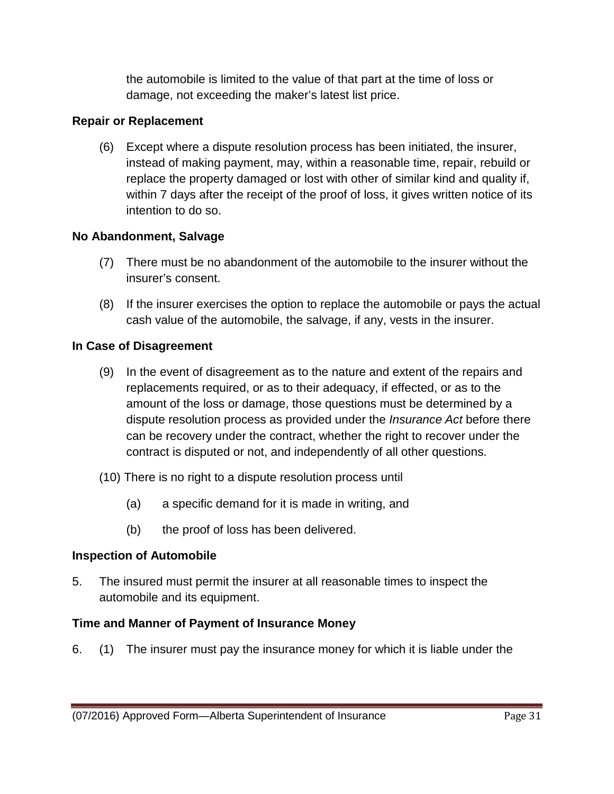the automobile is limited to the value of that part at the time of loss or damage, not exceeding the maker's latest list price.

# **Repair or Replacement**

(6) Except where a dispute resolution process has been initiated, the insurer, instead of making payment, may, within a reasonable time, repair, rebuild or replace the property damaged or lost with other of similar kind and quality if, within 7 days after the receipt of the proof of loss, it gives written notice of its intention to do so.

# **No Abandonment, Salvage**

- (7) There must be no abandonment of the automobile to the insurer without the insurer's consent.
- (8) If the insurer exercises the option to replace the automobile or pays the actual cash value of the automobile, the salvage, if any, vests in the insurer.

# **In Case of Disagreement**

- (9) In the event of disagreement as to the nature and extent of the repairs and replacements required, or as to their adequacy, if effected, or as to the amount of the loss or damage, those questions must be determined by a dispute resolution process as provided under the *Insurance Act* before there can be recovery under the contract, whether the right to recover under the contract is disputed or not, and independently of all other questions.
- (10) There is no right to a dispute resolution process until
	- (a) a specific demand for it is made in writing, and
	- (b) the proof of loss has been delivered.

### **Inspection of Automobile**

5. The insured must permit the insurer at all reasonable times to inspect the automobile and its equipment.

# **Time and Manner of Payment of Insurance Money**

6. (1) The insurer must pay the insurance money for which it is liable under the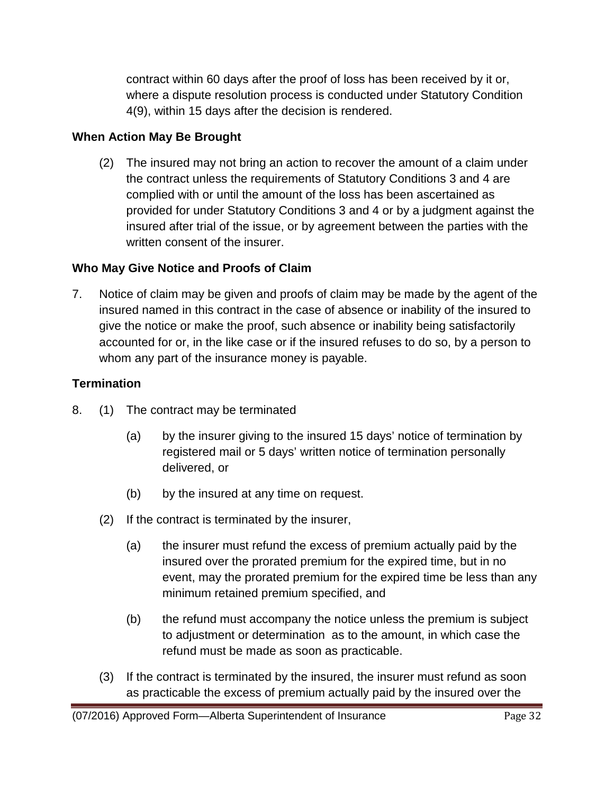contract within 60 days after the proof of loss has been received by it or, where a dispute resolution process is conducted under Statutory Condition 4(9), within 15 days after the decision is rendered.

# **When Action May Be Brought**

(2) The insured may not bring an action to recover the amount of a claim under the contract unless the requirements of Statutory Conditions 3 and 4 are complied with or until the amount of the loss has been ascertained as provided for under Statutory Conditions 3 and 4 or by a judgment against the insured after trial of the issue, or by agreement between the parties with the written consent of the insurer.

# **Who May Give Notice and Proofs of Claim**

7. Notice of claim may be given and proofs of claim may be made by the agent of the insured named in this contract in the case of absence or inability of the insured to give the notice or make the proof, such absence or inability being satisfactorily accounted for or, in the like case or if the insured refuses to do so, by a person to whom any part of the insurance money is payable.

# **Termination**

- 8. (1) The contract may be terminated
	- (a) by the insurer giving to the insured 15 days' notice of termination by registered mail or 5 days' written notice of termination personally delivered, or
	- (b) by the insured at any time on request.
	- (2) If the contract is terminated by the insurer,
		- (a) the insurer must refund the excess of premium actually paid by the insured over the prorated premium for the expired time, but in no event, may the prorated premium for the expired time be less than any minimum retained premium specified, and
		- (b) the refund must accompany the notice unless the premium is subject to adjustment or determination as to the amount, in which case the refund must be made as soon as practicable.
	- (3) If the contract is terminated by the insured, the insurer must refund as soon as practicable the excess of premium actually paid by the insured over the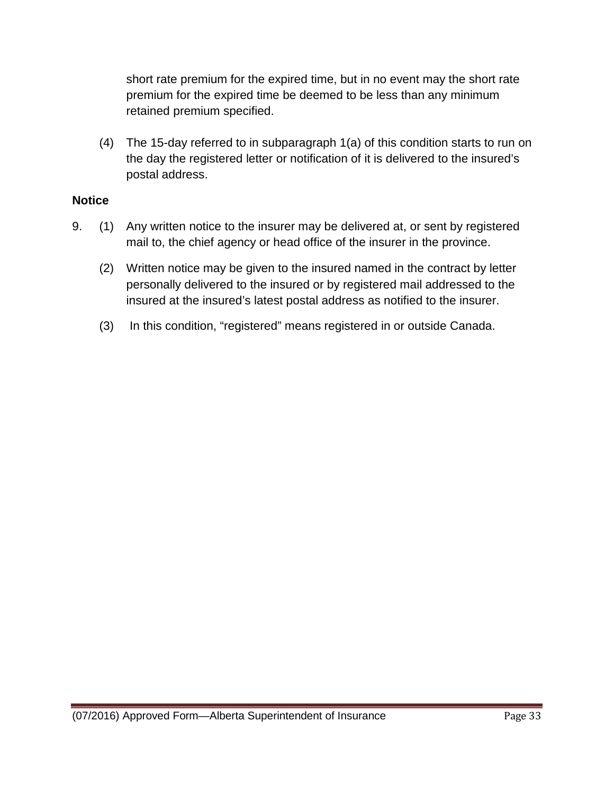short rate premium for the expired time, but in no event may the short rate premium for the expired time be deemed to be less than any minimum retained premium specified.

(4) The 15-day referred to in subparagraph 1(a) of this condition starts to run on the day the registered letter or notification of it is delivered to the insured's postal address.

### **Notice**

- 9. (1) Any written notice to the insurer may be delivered at, or sent by registered mail to, the chief agency or head office of the insurer in the province.
	- (2) Written notice may be given to the insured named in the contract by letter personally delivered to the insured or by registered mail addressed to the insured at the insured's latest postal address as notified to the insurer.
	- (3) In this condition, "registered" means registered in or outside Canada.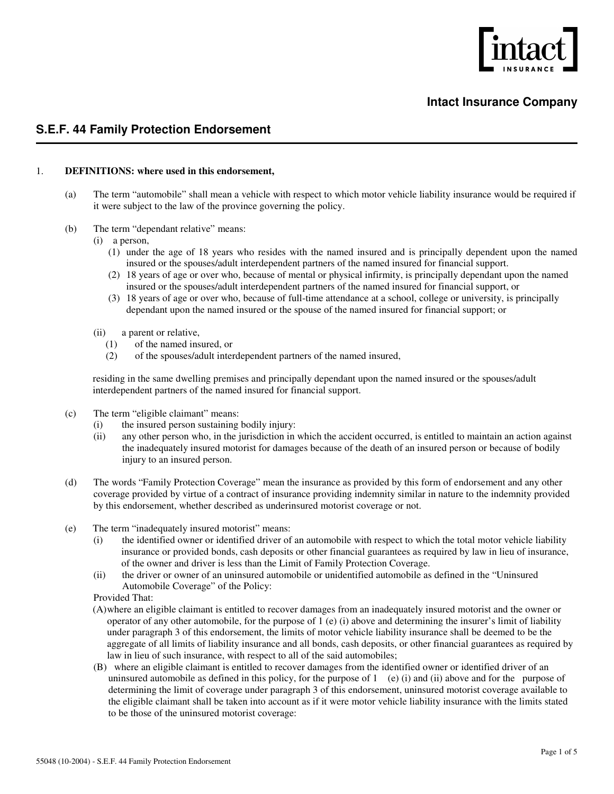

#### **Intact Insurance Company**

#### **S.E.F. 44 Family Protection Endorsement**

#### 1. **DEFINITIONS: where used in this endorsement,**

- (a) The term "automobile" shall mean a vehicle with respect to which motor vehicle liability insurance would be required if it were subject to the law of the province governing the policy.
- (b) The term "dependant relative" means:
	- (i) a person,
		- (1) under the age of 18 years who resides with the named insured and is principally dependent upon the named insured or the spouses/adult interdependent partners of the named insured for financial support.
		- (2) 18 years of age or over who, because of mental or physical infirmity, is principally dependant upon the named insured or the spouses/adult interdependent partners of the named insured for financial support, or
		- (3) 18 years of age or over who, because of full-time attendance at a school, college or university, is principally dependant upon the named insured or the spouse of the named insured for financial support; or
		- (ii) a parent or relative,
			- (1) of the named insured, or
			- (2) of the spouses/adult interdependent partners of the named insured,

residing in the same dwelling premises and principally dependant upon the named insured or the spouses/adult interdependent partners of the named insured for financial support.

- (c) The term "eligible claimant" means:
	- (i) the insured person sustaining bodily injury:
	- (ii) any other person who, in the jurisdiction in which the accident occurred, is entitled to maintain an action against the inadequately insured motorist for damages because of the death of an insured person or because of bodily injury to an insured person.
- (d) The words "Family Protection Coverage" mean the insurance as provided by this form of endorsement and any other coverage provided by virtue of a contract of insurance providing indemnity similar in nature to the indemnity provided by this endorsement, whether described as underinsured motorist coverage or not.
- (e) The term "inadequately insured motorist" means:
	- (i) the identified owner or identified driver of an automobile with respect to which the total motor vehicle liability insurance or provided bonds, cash deposits or other financial guarantees as required by law in lieu of insurance, of the owner and driver is less than the Limit of Family Protection Coverage.
	- (ii) the driver or owner of an uninsured automobile or unidentified automobile as defined in the "Uninsured Automobile Coverage" of the Policy:

Provided That:

- (A)where an eligible claimant is entitled to recover damages from an inadequately insured motorist and the owner or operator of any other automobile, for the purpose of  $1$  (e) (i) above and determining the insurer's limit of liability under paragraph 3 of this endorsement, the limits of motor vehicle liability insurance shall be deemed to be the aggregate of all limits of liability insurance and all bonds, cash deposits, or other financial guarantees as required by law in lieu of such insurance, with respect to all of the said automobiles;
- (B) where an eligible claimant is entitled to recover damages from the identified owner or identified driver of an uninsured automobile as defined in this policy, for the purpose of 1(e) (i) and (ii) above and for the purpose of determining the limit of coverage under paragraph 3 of this endorsement, uninsured motorist coverage available to the eligible claimant shall be taken into account as if it were motor vehicle liability insurance with the limits stated to be those of the uninsured motorist coverage: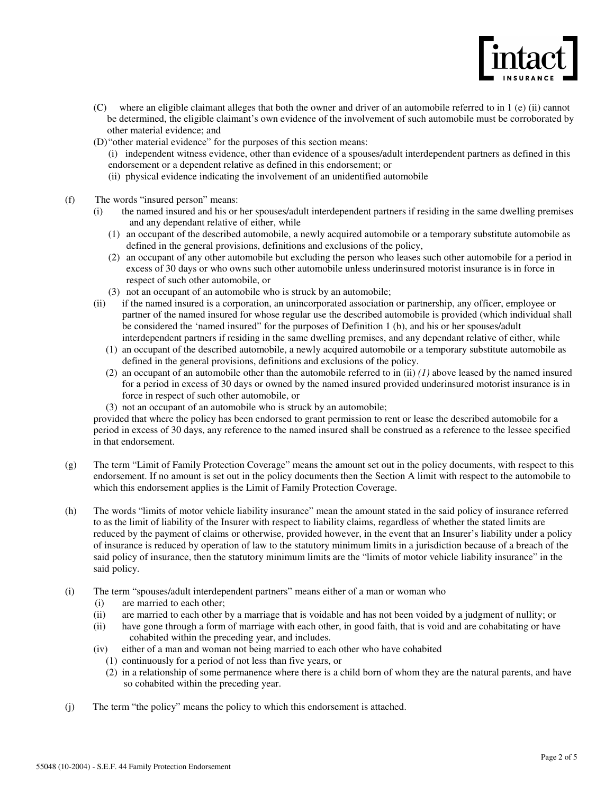

- (C) where an eligible claimant alleges that both the owner and driver of an automobile referred to in 1 (e) (ii) cannot be determined, the eligible claimant's own evidence of the involvement of such automobile must be corroborated by other material evidence; and
- (D) "other material evidence" for the purposes of this section means:
	- (i) independent witness evidence, other than evidence of a spouses/adult interdependent partners as defined in this endorsement or a dependent relative as defined in this endorsement; or
	- (ii) physical evidence indicating the involvement of an unidentified automobile
- (f) The words "insured person" means:
	- (i) the named insured and his or her spouses/adult interdependent partners if residing in the same dwelling premises and any dependant relative of either, while
		- (1) an occupant of the described automobile, a newly acquired automobile or a temporary substitute automobile as defined in the general provisions, definitions and exclusions of the policy,
		- (2) an occupant of any other automobile but excluding the person who leases such other automobile for a period in excess of 30 days or who owns such other automobile unless underinsured motorist insurance is in force in respect of such other automobile, or
		- (3) not an occupant of an automobile who is struck by an automobile;
	- (ii) if the named insured is a corporation, an unincorporated association or partnership, any officer, employee or partner of the named insured for whose regular use the described automobile is provided (which individual shall be considered the 'named insured" for the purposes of Definition 1 (b), and his or her spouses/adult interdependent partners if residing in the same dwelling premises, and any dependant relative of either, while
		- (1) an occupant of the described automobile, a newly acquired automobile or a temporary substitute automobile as defined in the general provisions, definitions and exclusions of the policy.
		- (2) an occupant of an automobile other than the automobile referred to in (ii) *(1)* above leased by the named insured for a period in excess of 30 days or owned by the named insured provided underinsured motorist insurance is in force in respect of such other automobile, or
		- (3) not an occupant of an automobile who is struck by an automobile;

provided that where the policy has been endorsed to grant permission to rent or lease the described automobile for a period in excess of 30 days, any reference to the named insured shall be construed as a reference to the lessee specified in that endorsement.

- (g) The term "Limit of Family Protection Coverage" means the amount set out in the policy documents, with respect to this endorsement. If no amount is set out in the policy documents then the Section A limit with respect to the automobile to which this endorsement applies is the Limit of Family Protection Coverage.
- (h) The words "limits of motor vehicle liability insurance" mean the amount stated in the said policy of insurance referred to as the limit of liability of the Insurer with respect to liability claims, regardless of whether the stated limits are reduced by the payment of claims or otherwise, provided however, in the event that an Insurer's liability under a policy of insurance is reduced by operation of law to the statutory minimum limits in a jurisdiction because of a breach of the said policy of insurance, then the statutory minimum limits are the "limits of motor vehicle liability insurance" in the said policy.
- (i) The term "spouses/adult interdependent partners" means either of a man or woman who
	- (i) are married to each other;
	- (ii) are married to each other by a marriage that is voidable and has not been voided by a judgment of nullity; or
	- (ii) have gone through a form of marriage with each other, in good faith, that is void and are cohabitating or have cohabited within the preceding year, and includes.
	- (iv) either of a man and woman not being married to each other who have cohabited
		- (1) continuously for a period of not less than five years, or
		- (2) in a relationship of some permanence where there is a child born of whom they are the natural parents, and have so cohabited within the preceding year.
- (j) The term "the policy" means the policy to which this endorsement is attached.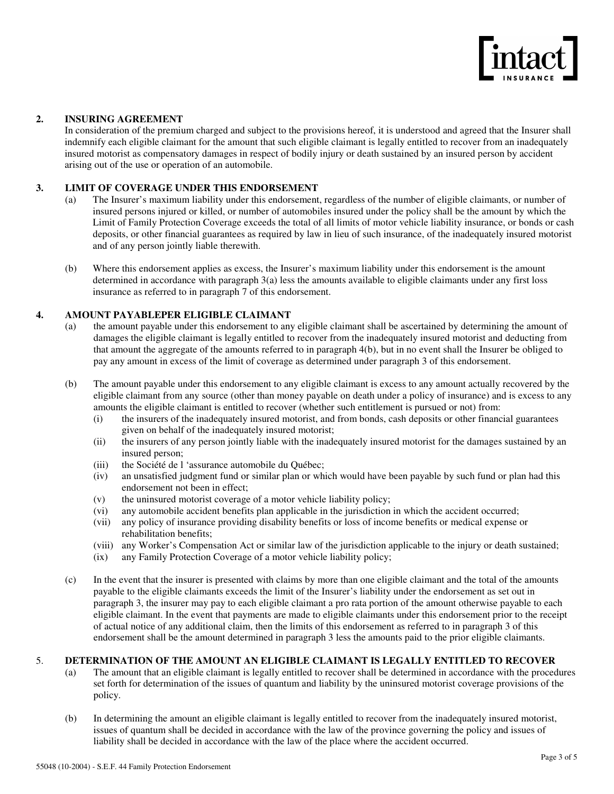

#### **2. INSURING AGREEMENT**

In consideration of the premium charged and subject to the provisions hereof, it is understood and agreed that the Insurer shall indemnify each eligible claimant for the amount that such eligible claimant is legally entitled to recover from an inadequately insured motorist as compensatory damages in respect of bodily injury or death sustained by an insured person by accident arising out of the use or operation of an automobile.

#### **3. LIMIT OF COVERAGE UNDER THIS ENDORSEMENT**

- (a) The Insurer's maximum liability under this endorsement, regardless of the number of eligible claimants, or number of insured persons injured or killed, or number of automobiles insured under the policy shall be the amount by which the Limit of Family Protection Coverage exceeds the total of all limits of motor vehicle liability insurance, or bonds or cash deposits, or other financial guarantees as required by law in lieu of such insurance, of the inadequately insured motorist and of any person jointly liable therewith.
- (b) Where this endorsement applies as excess, the Insurer's maximum liability under this endorsement is the amount determined in accordance with paragraph 3(a) less the amounts available to eligible claimants under any first loss insurance as referred to in paragraph 7 of this endorsement.

#### **4. AMOUNT PAYABLEPER ELIGIBLE CLAIMANT**

- (a) the amount payable under this endorsement to any eligible claimant shall be ascertained by determining the amount of damages the eligible claimant is legally entitled to recover from the inadequately insured motorist and deducting from that amount the aggregate of the amounts referred to in paragraph 4(b), but in no event shall the Insurer be obliged to pay any amount in excess of the limit of coverage as determined under paragraph 3 of this endorsement.
- (b) The amount payable under this endorsement to any eligible claimant is excess to any amount actually recovered by the eligible claimant from any source (other than money payable on death under a policy of insurance) and is excess to any amounts the eligible claimant is entitled to recover (whether such entitlement is pursued or not) from:
	- (i) the insurers of the inadequately insured motorist, and from bonds, cash deposits or other financial guarantees given on behalf of the inadequately insured motorist;
	- (ii) the insurers of any person jointly liable with the inadequately insured motorist for the damages sustained by an insured person;
	- (iii) the Société de l 'assurance automobile du Québec;
	- (iv) an unsatisfied judgment fund or similar plan or which would have been payable by such fund or plan had this endorsement not been in effect;
	- (v) the uninsured motorist coverage of a motor vehicle liability policy;
	- (vi) any automobile accident benefits plan applicable in the jurisdiction in which the accident occurred;
	- (vii) any policy of insurance providing disability benefits or loss of income benefits or medical expense or rehabilitation benefits;
	- (viii) any Worker's Compensation Act or similar law of the jurisdiction applicable to the injury or death sustained;
	- (ix) any Family Protection Coverage of a motor vehicle liability policy;
- (c) In the event that the insurer is presented with claims by more than one eligible claimant and the total of the amounts payable to the eligible claimants exceeds the limit of the Insurer's liability under the endorsement as set out in paragraph 3, the insurer may pay to each eligible claimant a pro rata portion of the amount otherwise payable to each eligible claimant. In the event that payments are made to eligible claimants under this endorsement prior to the receipt of actual notice of any additional claim, then the limits of this endorsement as referred to in paragraph 3 of this endorsement shall be the amount determined in paragraph 3 less the amounts paid to the prior eligible claimants.

#### 5. **DETERMINATION OF THE AMOUNT AN ELIGIBLE CLAIMANT IS LEGALLY ENTITLED TO RECOVER**

- (a) The amount that an eligible claimant is legally entitled to recover shall be determined in accordance with the procedures set forth for determination of the issues of quantum and liability by the uninsured motorist coverage provisions of the policy.
- (b) In determining the amount an eligible claimant is legally entitled to recover from the inadequately insured motorist, issues of quantum shall be decided in accordance with the law of the province governing the policy and issues of liability shall be decided in accordance with the law of the place where the accident occurred.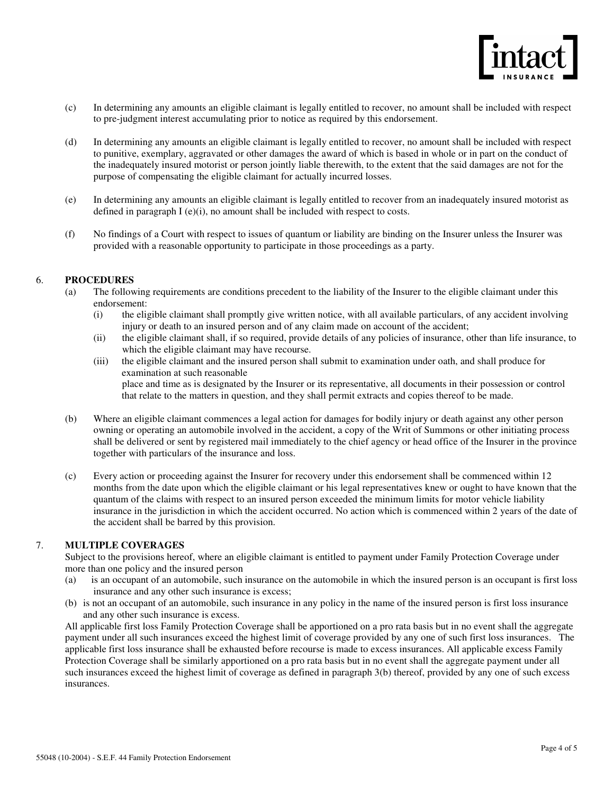

- (c) In determining any amounts an eligible claimant is legally entitled to recover, no amount shall be included with respect to pre-judgment interest accumulating prior to notice as required by this endorsement.
- (d) In determining any amounts an eligible claimant is legally entitled to recover, no amount shall be included with respect to punitive, exemplary, aggravated or other damages the award of which is based in whole or in part on the conduct of the inadequately insured motorist or person jointly liable therewith, to the extent that the said damages are not for the purpose of compensating the eligible claimant for actually incurred losses.
- (e) In determining any amounts an eligible claimant is legally entitled to recover from an inadequately insured motorist as defined in paragraph  $I(e)(i)$ , no amount shall be included with respect to costs.
- (f) No findings of a Court with respect to issues of quantum or liability are binding on the Insurer unless the Insurer was provided with a reasonable opportunity to participate in those proceedings as a party.

#### 6. **PROCEDURES**

- (a) The following requirements are conditions precedent to the liability of the Insurer to the eligible claimant under this endorsement:
	- (i) the eligible claimant shall promptly give written notice, with all available particulars, of any accident involving injury or death to an insured person and of any claim made on account of the accident;
	- (ii) the eligible claimant shall, if so required, provide details of any policies of insurance, other than life insurance, to which the eligible claimant may have recourse.
	- (iii) the eligible claimant and the insured person shall submit to examination under oath, and shall produce for examination at such reasonable place and time as is designated by the Insurer or its representative, all documents in their possession or control that relate to the matters in question, and they shall permit extracts and copies thereof to be made.
- (b) Where an eligible claimant commences a legal action for damages for bodily injury or death against any other person owning or operating an automobile involved in the accident, a copy of the Writ of Summons or other initiating process shall be delivered or sent by registered mail immediately to the chief agency or head office of the Insurer in the province together with particulars of the insurance and loss.
- (c) Every action or proceeding against the Insurer for recovery under this endorsement shall be commenced within 12 months from the date upon which the eligible claimant or his legal representatives knew or ought to have known that the quantum of the claims with respect to an insured person exceeded the minimum limits for motor vehicle liability insurance in the jurisdiction in which the accident occurred. No action which is commenced within 2 years of the date of the accident shall be barred by this provision.

#### 7. **MULTIPLE COVERAGES**

Subject to the provisions hereof, where an eligible claimant is entitled to payment under Family Protection Coverage under more than one policy and the insured person

- (a) is an occupant of an automobile, such insurance on the automobile in which the insured person is an occupant is first loss insurance and any other such insurance is excess;
- (b) is not an occupant of an automobile, such insurance in any policy in the name of the insured person is first loss insurance and any other such insurance is excess.

All applicable first loss Family Protection Coverage shall be apportioned on a pro rata basis but in no event shall the aggregate payment under all such insurances exceed the highest limit of coverage provided by any one of such first loss insurances. The applicable first loss insurance shall be exhausted before recourse is made to excess insurances. All applicable excess Family Protection Coverage shall be similarly apportioned on a pro rata basis but in no event shall the aggregate payment under all such insurances exceed the highest limit of coverage as defined in paragraph 3(b) thereof, provided by any one of such excess insurances.